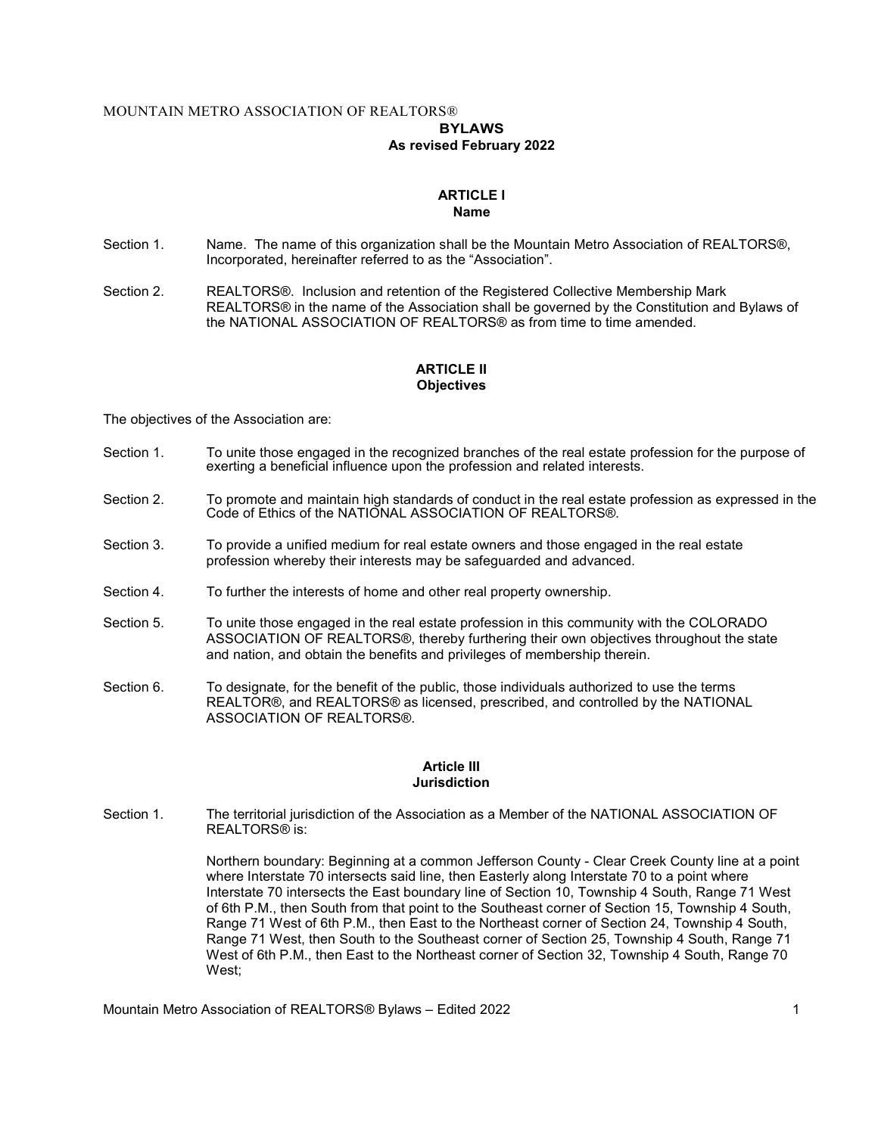## MOUNTAIN METRO ASSOCIATION OF REALTORS®

# BYLAWS

## As revised February 2022

#### ARTICLE I Name

- Section 1. Name. The name of this organization shall be the Mountain Metro Association of REALTORS®, Incorporated, hereinafter referred to as the "Association".
- Section 2. REALTORS®. Inclusion and retention of the Registered Collective Membership Mark REALTORS® in the name of the Association shall be governed by the Constitution and Bylaws of the NATIONAL ASSOCIATION OF REALTORS® as from time to time amended.

## ARTICLE II **Objectives**

The objectives of the Association are:

- Section 1. To unite those engaged in the recognized branches of the real estate profession for the purpose of exerting a beneficial influence upon the profession and related interests.
- Section 2. To promote and maintain high standards of conduct in the real estate profession as expressed in the Code of Ethics of the NATIONAL ASSOCIATION OF REALTORS®.
- Section 3. To provide a unified medium for real estate owners and those engaged in the real estate profession whereby their interests may be safeguarded and advanced.
- Section 4. To further the interests of home and other real property ownership.
- Section 5. To unite those engaged in the real estate profession in this community with the COLORADO ASSOCIATION OF REALTORS®, thereby furthering their own objectives throughout the state and nation, and obtain the benefits and privileges of membership therein.
- Section 6. To designate, for the benefit of the public, those individuals authorized to use the terms REALTOR®, and REALTORS® as licensed, prescribed, and controlled by the NATIONAL ASSOCIATION OF REALTORS®.

#### Article III **Jurisdiction**

Section 1. The territorial jurisdiction of the Association as a Member of the NATIONAL ASSOCIATION OF REALTORS® is:

> Northern boundary: Beginning at a common Jefferson County - Clear Creek County line at a point where Interstate 70 intersects said line, then Easterly along Interstate 70 to a point where Interstate 70 intersects the East boundary line of Section 10, Township 4 South, Range 71 West of 6th P.M., then South from that point to the Southeast corner of Section 15, Township 4 South, Range 71 West of 6th P.M., then East to the Northeast corner of Section 24, Township 4 South, Range 71 West, then South to the Southeast corner of Section 25, Township 4 South, Range 71 West of 6th P.M., then East to the Northeast corner of Section 32, Township 4 South, Range 70 West;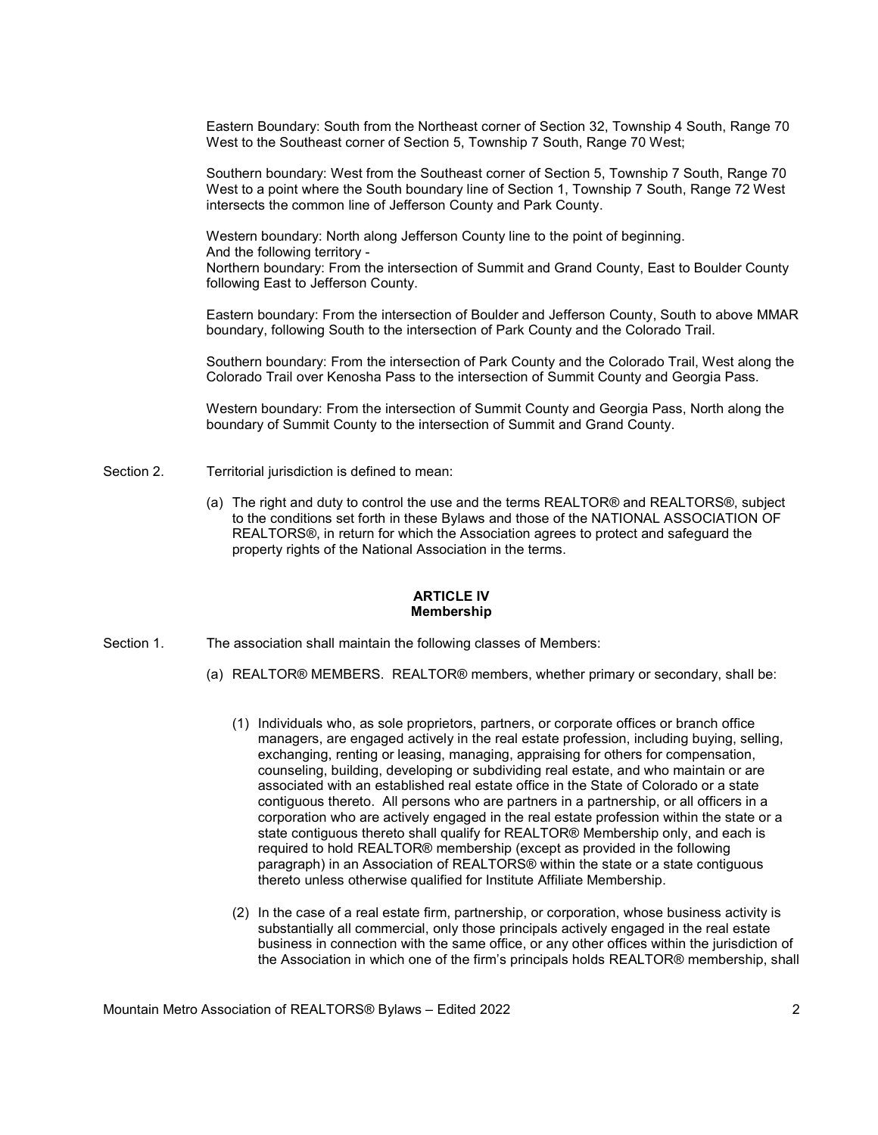Eastern Boundary: South from the Northeast corner of Section 32, Township 4 South, Range 70 West to the Southeast corner of Section 5, Township 7 South, Range 70 West;

Southern boundary: West from the Southeast corner of Section 5, Township 7 South, Range 70 West to a point where the South boundary line of Section 1, Township 7 South, Range 72 West intersects the common line of Jefferson County and Park County.

Western boundary: North along Jefferson County line to the point of beginning. And the following territory - Northern boundary: From the intersection of Summit and Grand County, East to Boulder County following East to Jefferson County.

Eastern boundary: From the intersection of Boulder and Jefferson County, South to above MMAR boundary, following South to the intersection of Park County and the Colorado Trail.

Southern boundary: From the intersection of Park County and the Colorado Trail, West along the Colorado Trail over Kenosha Pass to the intersection of Summit County and Georgia Pass.

 Western boundary: From the intersection of Summit County and Georgia Pass, North along the boundary of Summit County to the intersection of Summit and Grand County.

- Section 2. Territorial jurisdiction is defined to mean:
	- (a) The right and duty to control the use and the terms REALTOR® and REALTORS®, subject to the conditions set forth in these Bylaws and those of the NATIONAL ASSOCIATION OF REALTORS®, in return for which the Association agrees to protect and safeguard the property rights of the National Association in the terms.

#### ARTICLE IV Membership

- Section 1. The association shall maintain the following classes of Members:
	- (a) REALTOR® MEMBERS. REALTOR® members, whether primary or secondary, shall be:
		- (1) Individuals who, as sole proprietors, partners, or corporate offices or branch office managers, are engaged actively in the real estate profession, including buying, selling, exchanging, renting or leasing, managing, appraising for others for compensation, counseling, building, developing or subdividing real estate, and who maintain or are associated with an established real estate office in the State of Colorado or a state contiguous thereto. All persons who are partners in a partnership, or all officers in a corporation who are actively engaged in the real estate profession within the state or a state contiguous thereto shall qualify for REALTOR® Membership only, and each is required to hold REALTOR® membership (except as provided in the following paragraph) in an Association of REALTORS® within the state or a state contiguous thereto unless otherwise qualified for Institute Affiliate Membership.
		- (2) In the case of a real estate firm, partnership, or corporation, whose business activity is substantially all commercial, only those principals actively engaged in the real estate business in connection with the same office, or any other offices within the jurisdiction of the Association in which one of the firm's principals holds REALTOR® membership, shall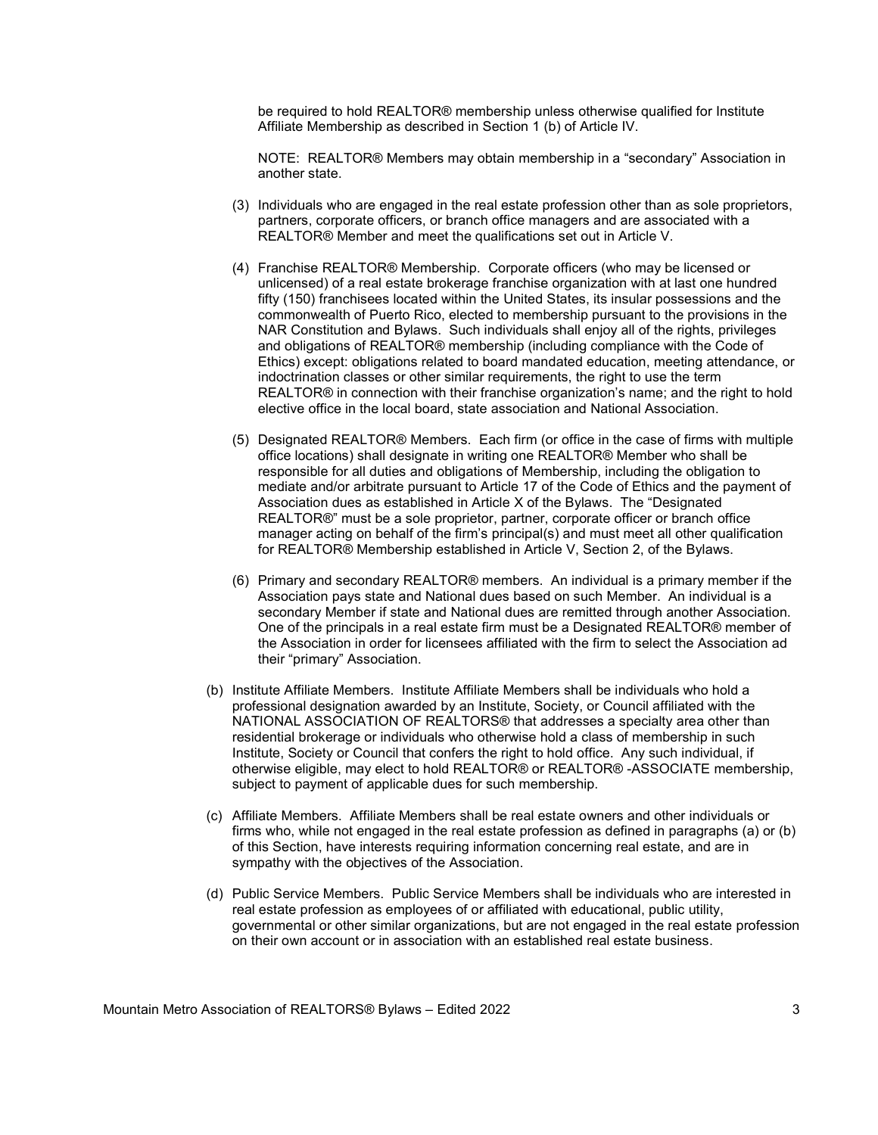be required to hold REALTOR® membership unless otherwise qualified for Institute Affiliate Membership as described in Section 1 (b) of Article IV.

NOTE: REALTOR® Members may obtain membership in a "secondary" Association in another state.

- (3) Individuals who are engaged in the real estate profession other than as sole proprietors, partners, corporate officers, or branch office managers and are associated with a REALTOR® Member and meet the qualifications set out in Article V.
- (4) Franchise REALTOR® Membership. Corporate officers (who may be licensed or unlicensed) of a real estate brokerage franchise organization with at last one hundred fifty (150) franchisees located within the United States, its insular possessions and the commonwealth of Puerto Rico, elected to membership pursuant to the provisions in the NAR Constitution and Bylaws. Such individuals shall enjoy all of the rights, privileges and obligations of REALTOR® membership (including compliance with the Code of Ethics) except: obligations related to board mandated education, meeting attendance, or indoctrination classes or other similar requirements, the right to use the term REALTOR® in connection with their franchise organization's name; and the right to hold elective office in the local board, state association and National Association.
- (5) Designated REALTOR® Members. Each firm (or office in the case of firms with multiple office locations) shall designate in writing one REALTOR® Member who shall be responsible for all duties and obligations of Membership, including the obligation to mediate and/or arbitrate pursuant to Article 17 of the Code of Ethics and the payment of Association dues as established in Article X of the Bylaws. The "Designated REALTOR®" must be a sole proprietor, partner, corporate officer or branch office manager acting on behalf of the firm's principal(s) and must meet all other qualification for REALTOR® Membership established in Article V, Section 2, of the Bylaws.
- (6) Primary and secondary REALTOR® members. An individual is a primary member if the Association pays state and National dues based on such Member. An individual is a secondary Member if state and National dues are remitted through another Association. One of the principals in a real estate firm must be a Designated REALTOR® member of the Association in order for licensees affiliated with the firm to select the Association ad their "primary" Association.
- (b) Institute Affiliate Members. Institute Affiliate Members shall be individuals who hold a professional designation awarded by an Institute, Society, or Council affiliated with the NATIONAL ASSOCIATION OF REALTORS® that addresses a specialty area other than residential brokerage or individuals who otherwise hold a class of membership in such Institute, Society or Council that confers the right to hold office. Any such individual, if otherwise eligible, may elect to hold REALTOR® or REALTOR® -ASSOCIATE membership, subject to payment of applicable dues for such membership.
- (c) Affiliate Members. Affiliate Members shall be real estate owners and other individuals or firms who, while not engaged in the real estate profession as defined in paragraphs (a) or (b) of this Section, have interests requiring information concerning real estate, and are in sympathy with the objectives of the Association.
- (d) Public Service Members. Public Service Members shall be individuals who are interested in real estate profession as employees of or affiliated with educational, public utility, governmental or other similar organizations, but are not engaged in the real estate profession on their own account or in association with an established real estate business.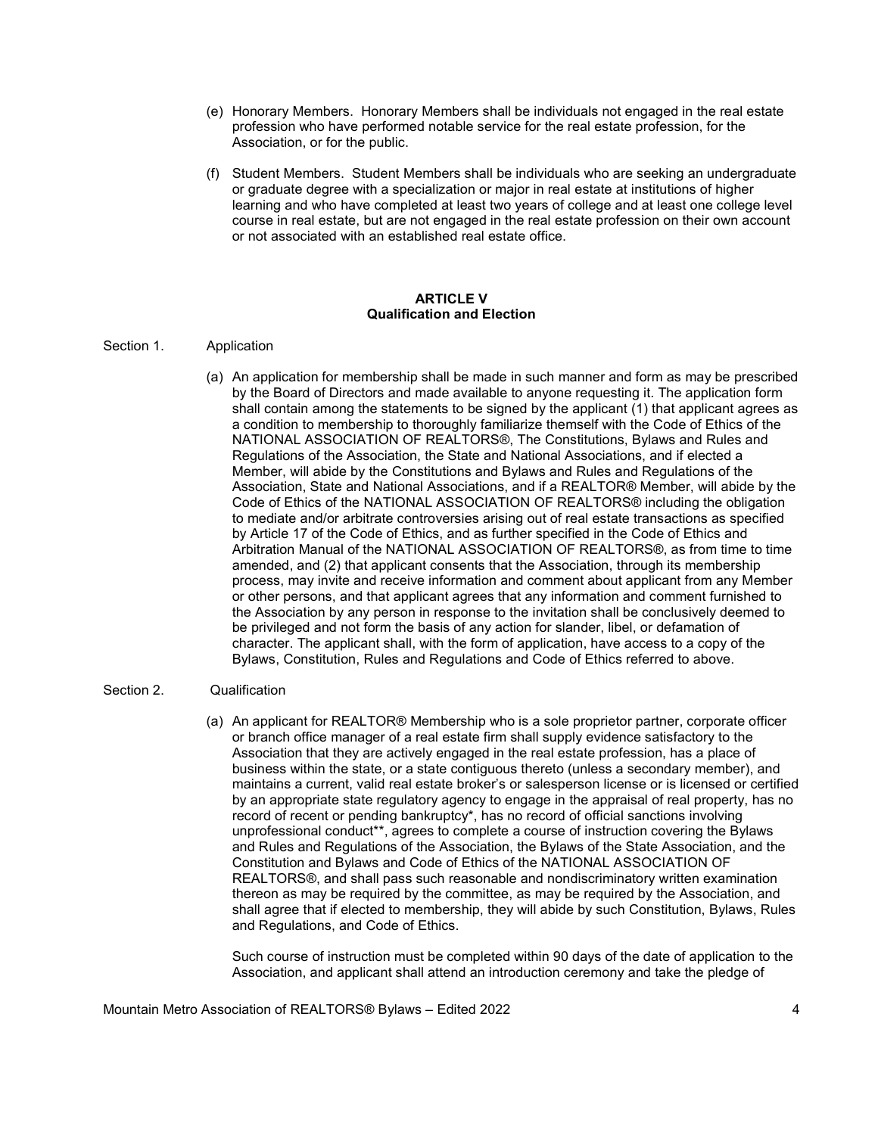- (e) Honorary Members. Honorary Members shall be individuals not engaged in the real estate profession who have performed notable service for the real estate profession, for the Association, or for the public.
- (f) Student Members. Student Members shall be individuals who are seeking an undergraduate or graduate degree with a specialization or major in real estate at institutions of higher learning and who have completed at least two years of college and at least one college level course in real estate, but are not engaged in the real estate profession on their own account or not associated with an established real estate office.

### ARTICLE V Qualification and Election

## Section 1. Application

(a) An application for membership shall be made in such manner and form as may be prescribed by the Board of Directors and made available to anyone requesting it. The application form shall contain among the statements to be signed by the applicant (1) that applicant agrees as a condition to membership to thoroughly familiarize themself with the Code of Ethics of the NATIONAL ASSOCIATION OF REALTORS®, The Constitutions, Bylaws and Rules and Regulations of the Association, the State and National Associations, and if elected a Member, will abide by the Constitutions and Bylaws and Rules and Regulations of the Association, State and National Associations, and if a REALTOR® Member, will abide by the Code of Ethics of the NATIONAL ASSOCIATION OF REALTORS® including the obligation to mediate and/or arbitrate controversies arising out of real estate transactions as specified by Article 17 of the Code of Ethics, and as further specified in the Code of Ethics and Arbitration Manual of the NATIONAL ASSOCIATION OF REALTORS®, as from time to time amended, and (2) that applicant consents that the Association, through its membership process, may invite and receive information and comment about applicant from any Member or other persons, and that applicant agrees that any information and comment furnished to the Association by any person in response to the invitation shall be conclusively deemed to be privileged and not form the basis of any action for slander, libel, or defamation of character. The applicant shall, with the form of application, have access to a copy of the Bylaws, Constitution, Rules and Regulations and Code of Ethics referred to above.

## Section 2. Qualification

(a) An applicant for REALTOR® Membership who is a sole proprietor partner, corporate officer or branch office manager of a real estate firm shall supply evidence satisfactory to the Association that they are actively engaged in the real estate profession, has a place of business within the state, or a state contiguous thereto (unless a secondary member), and maintains a current, valid real estate broker's or salesperson license or is licensed or certified by an appropriate state regulatory agency to engage in the appraisal of real property, has no record of recent or pending bankruptcy\*, has no record of official sanctions involving unprofessional conduct\*\*, agrees to complete a course of instruction covering the Bylaws and Rules and Regulations of the Association, the Bylaws of the State Association, and the Constitution and Bylaws and Code of Ethics of the NATIONAL ASSOCIATION OF REALTORS®, and shall pass such reasonable and nondiscriminatory written examination thereon as may be required by the committee, as may be required by the Association, and shall agree that if elected to membership, they will abide by such Constitution, Bylaws, Rules and Regulations, and Code of Ethics.

Such course of instruction must be completed within 90 days of the date of application to the Association, and applicant shall attend an introduction ceremony and take the pledge of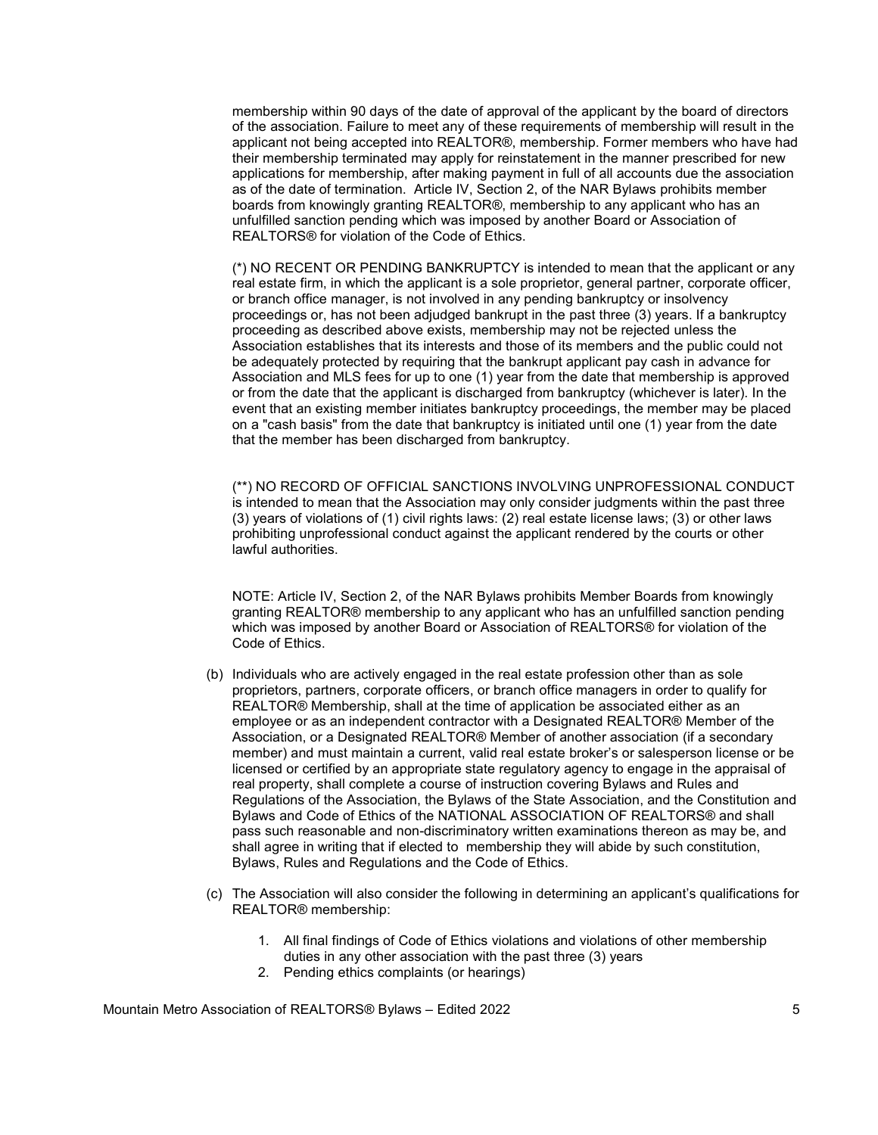membership within 90 days of the date of approval of the applicant by the board of directors of the association. Failure to meet any of these requirements of membership will result in the applicant not being accepted into REALTOR®, membership. Former members who have had their membership terminated may apply for reinstatement in the manner prescribed for new applications for membership, after making payment in full of all accounts due the association as of the date of termination. Article IV, Section 2, of the NAR Bylaws prohibits member boards from knowingly granting REALTOR®, membership to any applicant who has an unfulfilled sanction pending which was imposed by another Board or Association of REALTORS® for violation of the Code of Ethics.

(\*) NO RECENT OR PENDING BANKRUPTCY is intended to mean that the applicant or any real estate firm, in which the applicant is a sole proprietor, general partner, corporate officer, or branch office manager, is not involved in any pending bankruptcy or insolvency proceedings or, has not been adjudged bankrupt in the past three (3) years. If a bankruptcy proceeding as described above exists, membership may not be rejected unless the Association establishes that its interests and those of its members and the public could not be adequately protected by requiring that the bankrupt applicant pay cash in advance for Association and MLS fees for up to one (1) year from the date that membership is approved or from the date that the applicant is discharged from bankruptcy (whichever is later). In the event that an existing member initiates bankruptcy proceedings, the member may be placed on a "cash basis" from the date that bankruptcy is initiated until one (1) year from the date that the member has been discharged from bankruptcy.

 (\*\*) NO RECORD OF OFFICIAL SANCTIONS INVOLVING UNPROFESSIONAL CONDUCT is intended to mean that the Association may only consider judgments within the past three (3) years of violations of (1) civil rights laws: (2) real estate license laws; (3) or other laws prohibiting unprofessional conduct against the applicant rendered by the courts or other lawful authorities.

 NOTE: Article IV, Section 2, of the NAR Bylaws prohibits Member Boards from knowingly granting REALTOR® membership to any applicant who has an unfulfilled sanction pending which was imposed by another Board or Association of REALTORS® for violation of the Code of Ethics.

- (b) Individuals who are actively engaged in the real estate profession other than as sole proprietors, partners, corporate officers, or branch office managers in order to qualify for REALTOR® Membership, shall at the time of application be associated either as an employee or as an independent contractor with a Designated REALTOR® Member of the Association, or a Designated REALTOR® Member of another association (if a secondary member) and must maintain a current, valid real estate broker's or salesperson license or be licensed or certified by an appropriate state regulatory agency to engage in the appraisal of real property, shall complete a course of instruction covering Bylaws and Rules and Regulations of the Association, the Bylaws of the State Association, and the Constitution and Bylaws and Code of Ethics of the NATIONAL ASSOCIATION OF REALTORS® and shall pass such reasonable and non-discriminatory written examinations thereon as may be, and shall agree in writing that if elected to membership they will abide by such constitution, Bylaws, Rules and Regulations and the Code of Ethics.
- (c) The Association will also consider the following in determining an applicant's qualifications for REALTOR® membership:
	- 1. All final findings of Code of Ethics violations and violations of other membership duties in any other association with the past three (3) years
	- 2. Pending ethics complaints (or hearings)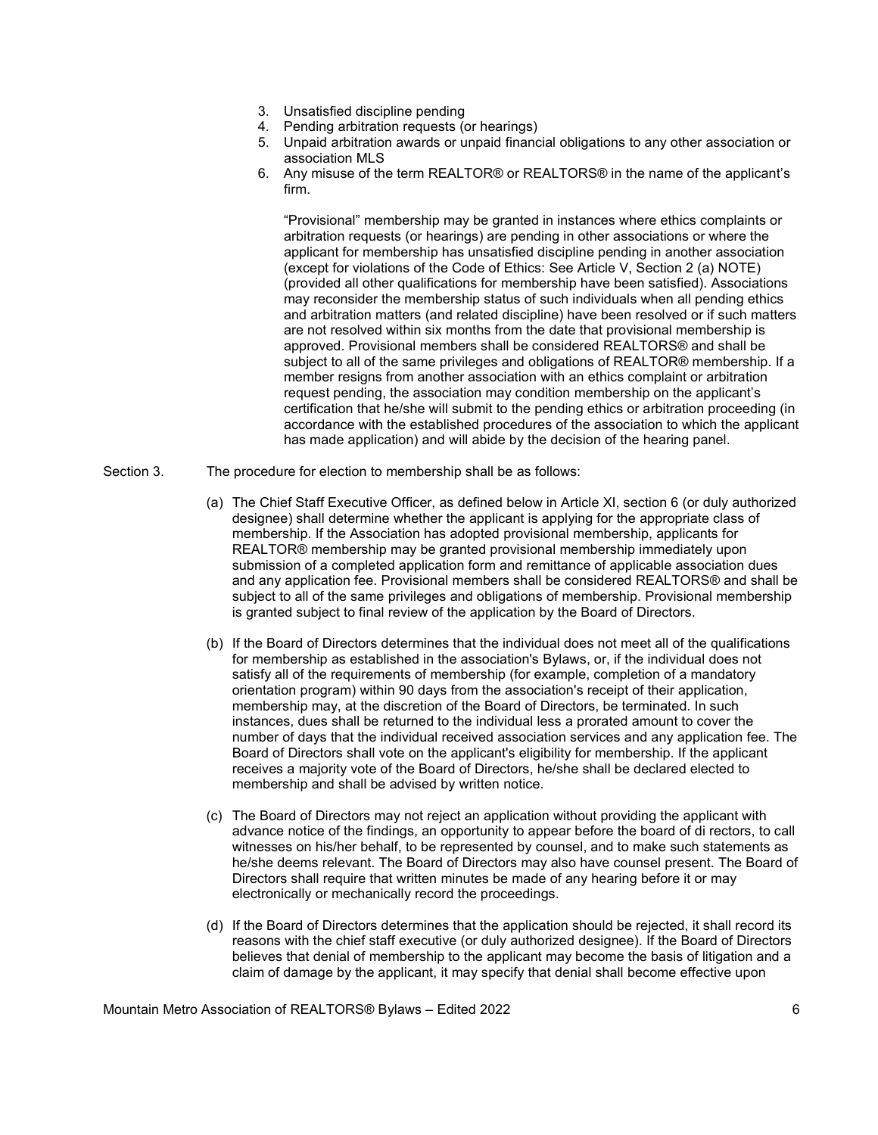- 3. Unsatisfied discipline pending
- 4. Pending arbitration requests (or hearings)
- 5. Unpaid arbitration awards or unpaid financial obligations to any other association or association MLS
- 6. Any misuse of the term REALTOR® or REALTORS® in the name of the applicant's firm.

"Provisional" membership may be granted in instances where ethics complaints or arbitration requests (or hearings) are pending in other associations or where the applicant for membership has unsatisfied discipline pending in another association (except for violations of the Code of Ethics: See Article V, Section 2 (a) NOTE) (provided all other qualifications for membership have been satisfied). Associations may reconsider the membership status of such individuals when all pending ethics and arbitration matters (and related discipline) have been resolved or if such matters are not resolved within six months from the date that provisional membership is approved. Provisional members shall be considered REALTORS® and shall be subject to all of the same privileges and obligations of REALTOR® membership. If a member resigns from another association with an ethics complaint or arbitration request pending, the association may condition membership on the applicant's certification that he/she will submit to the pending ethics or arbitration proceeding (in accordance with the established procedures of the association to which the applicant has made application) and will abide by the decision of the hearing panel.

- Section 3. The procedure for election to membership shall be as follows:
	- (a) The Chief Staff Executive Officer, as defined below in Article XI, section 6 (or duly authorized designee) shall determine whether the applicant is applying for the appropriate class of membership. If the Association has adopted provisional membership, applicants for REALTOR® membership may be granted provisional membership immediately upon submission of a completed application form and remittance of applicable association dues and any application fee. Provisional members shall be considered REALTORS® and shall be subject to all of the same privileges and obligations of membership. Provisional membership is granted subject to final review of the application by the Board of Directors.
	- (b) If the Board of Directors determines that the individual does not meet all of the qualifications for membership as established in the association's Bylaws, or, if the individual does not satisfy all of the requirements of membership (for example, completion of a mandatory orientation program) within 90 days from the association's receipt of their application, membership may, at the discretion of the Board of Directors, be terminated. In such instances, dues shall be returned to the individual less a prorated amount to cover the number of days that the individual received association services and any application fee. The Board of Directors shall vote on the applicant's eligibility for membership. If the applicant receives a majority vote of the Board of Directors, he/she shall be declared elected to membership and shall be advised by written notice.
	- (c) The Board of Directors may not reject an application without providing the applicant with advance notice of the findings, an opportunity to appear before the board of di rectors, to call witnesses on his/her behalf, to be represented by counsel, and to make such statements as he/she deems relevant. The Board of Directors may also have counsel present. The Board of Directors shall require that written minutes be made of any hearing before it or may electronically or mechanically record the proceedings.
	- (d) If the Board of Directors determines that the application should be rejected, it shall record its reasons with the chief staff executive (or duly authorized designee). If the Board of Directors believes that denial of membership to the applicant may become the basis of litigation and a claim of damage by the applicant, it may specify that denial shall become effective upon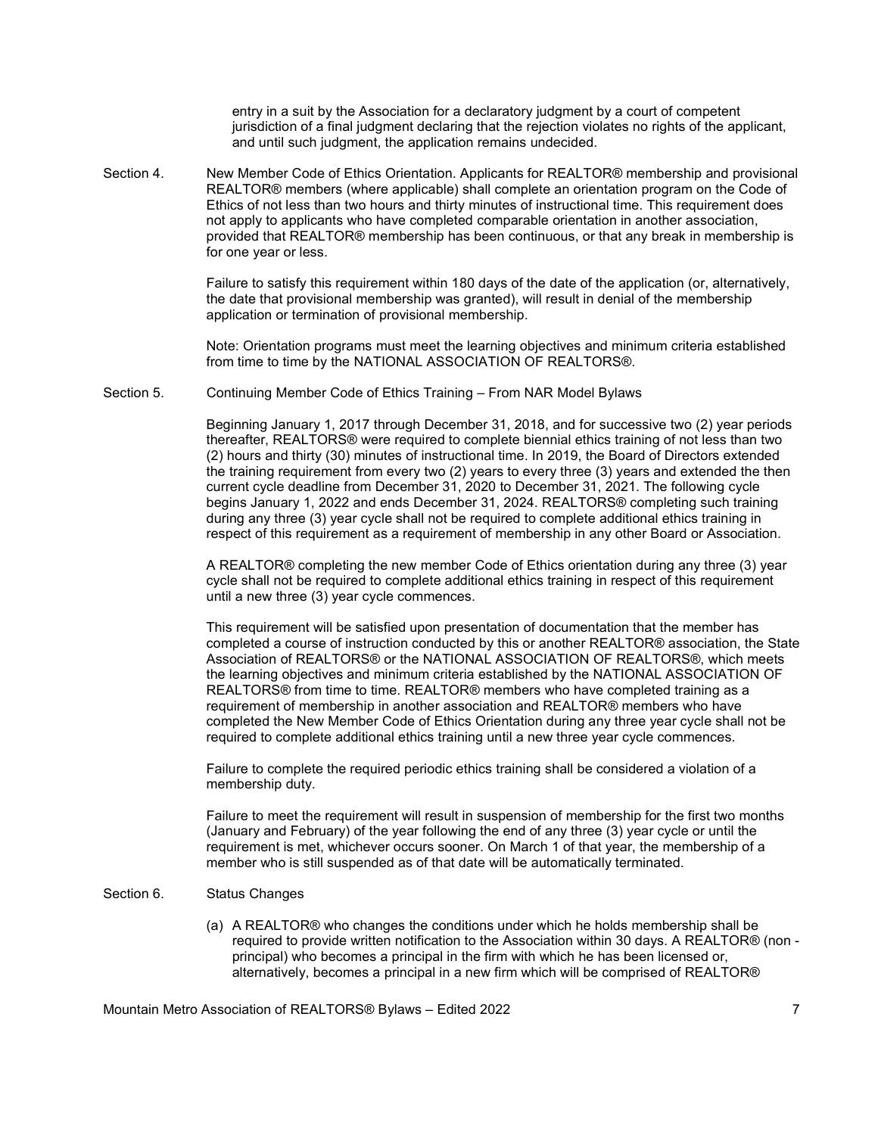entry in a suit by the Association for a declaratory judgment by a court of competent jurisdiction of a final judgment declaring that the rejection violates no rights of the applicant, and until such judgment, the application remains undecided.

Section 4. New Member Code of Ethics Orientation. Applicants for REALTOR® membership and provisional REALTOR® members (where applicable) shall complete an orientation program on the Code of Ethics of not less than two hours and thirty minutes of instructional time. This requirement does not apply to applicants who have completed comparable orientation in another association, provided that REALTOR® membership has been continuous, or that any break in membership is for one year or less.

> Failure to satisfy this requirement within 180 days of the date of the application (or, alternatively, the date that provisional membership was granted), will result in denial of the membership application or termination of provisional membership.

> Note: Orientation programs must meet the learning objectives and minimum criteria established from time to time by the NATIONAL ASSOCIATION OF REALTORS®.

Section 5. Continuing Member Code of Ethics Training – From NAR Model Bylaws

Beginning January 1, 2017 through December 31, 2018, and for successive two (2) year periods thereafter, REALTORS® were required to complete biennial ethics training of not less than two (2) hours and thirty (30) minutes of instructional time. In 2019, the Board of Directors extended the training requirement from every two (2) years to every three (3) years and extended the then current cycle deadline from December 31, 2020 to December 31, 2021. The following cycle begins January 1, 2022 and ends December 31, 2024. REALTORS® completing such training during any three (3) year cycle shall not be required to complete additional ethics training in respect of this requirement as a requirement of membership in any other Board or Association.

A REALTOR® completing the new member Code of Ethics orientation during any three (3) year cycle shall not be required to complete additional ethics training in respect of this requirement until a new three (3) year cycle commences.

This requirement will be satisfied upon presentation of documentation that the member has completed a course of instruction conducted by this or another REALTOR® association, the State Association of REALTORS® or the NATIONAL ASSOCIATION OF REALTORS®, which meets the learning objectives and minimum criteria established by the NATIONAL ASSOCIATION OF REALTORS® from time to time. REALTOR® members who have completed training as a requirement of membership in another association and REALTOR® members who have completed the New Member Code of Ethics Orientation during any three year cycle shall not be required to complete additional ethics training until a new three year cycle commences.

Failure to complete the required periodic ethics training shall be considered a violation of a membership duty.

Failure to meet the requirement will result in suspension of membership for the first two months (January and February) of the year following the end of any three (3) year cycle or until the requirement is met, whichever occurs sooner. On March 1 of that year, the membership of a member who is still suspended as of that date will be automatically terminated.

## Section 6. Status Changes

(a) A REALTOR® who changes the conditions under which he holds membership shall be required to provide written notification to the Association within 30 days. A REALTOR® (non principal) who becomes a principal in the firm with which he has been licensed or, alternatively, becomes a principal in a new firm which will be comprised of REALTOR®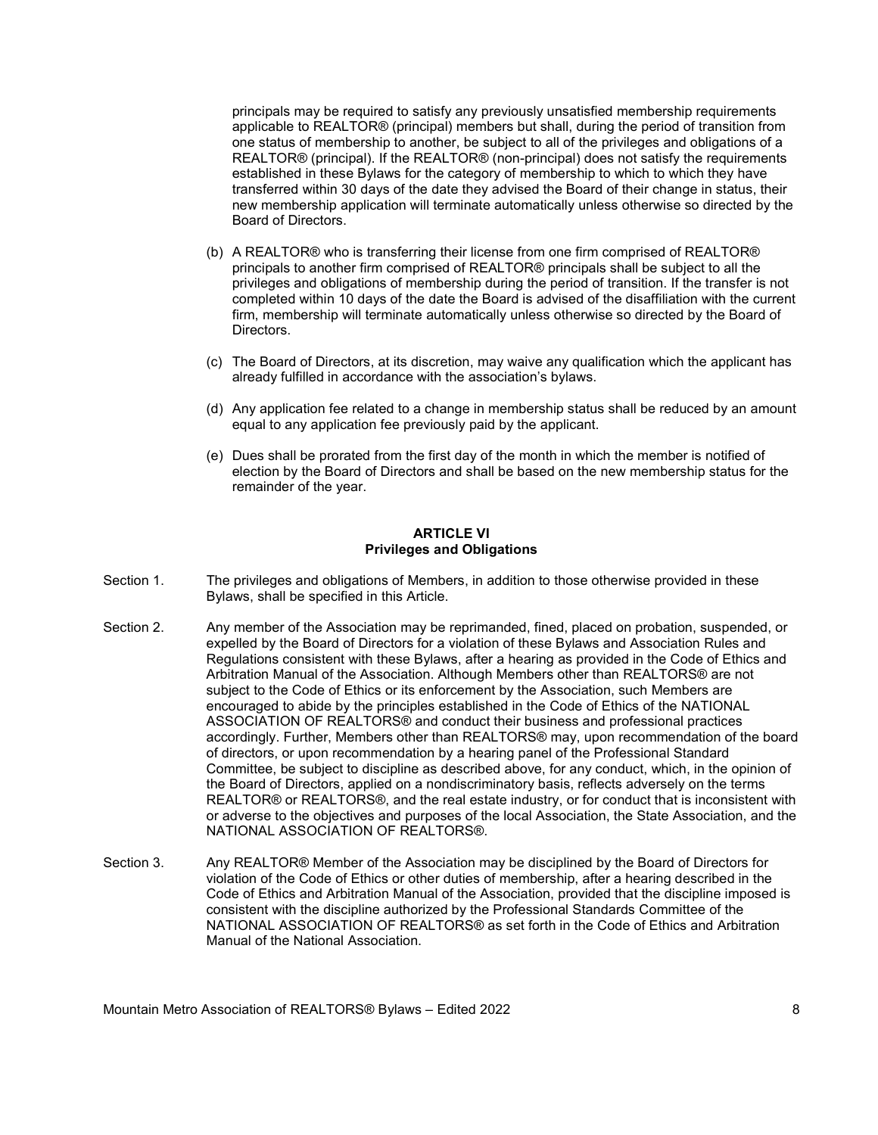principals may be required to satisfy any previously unsatisfied membership requirements applicable to REALTOR® (principal) members but shall, during the period of transition from one status of membership to another, be subject to all of the privileges and obligations of a REALTOR® (principal). If the REALTOR® (non-principal) does not satisfy the requirements established in these Bylaws for the category of membership to which to which they have transferred within 30 days of the date they advised the Board of their change in status, their new membership application will terminate automatically unless otherwise so directed by the Board of Directors.

- (b) A REALTOR® who is transferring their license from one firm comprised of REALTOR® principals to another firm comprised of REALTOR® principals shall be subject to all the privileges and obligations of membership during the period of transition. If the transfer is not completed within 10 days of the date the Board is advised of the disaffiliation with the current firm, membership will terminate automatically unless otherwise so directed by the Board of Directors.
- (c) The Board of Directors, at its discretion, may waive any qualification which the applicant has already fulfilled in accordance with the association's bylaws.
- (d) Any application fee related to a change in membership status shall be reduced by an amount equal to any application fee previously paid by the applicant.
- (e) Dues shall be prorated from the first day of the month in which the member is notified of election by the Board of Directors and shall be based on the new membership status for the remainder of the year.

## ARTICLE VI Privileges and Obligations

- Section 1. The privileges and obligations of Members, in addition to those otherwise provided in these Bylaws, shall be specified in this Article.
- Section 2. Any member of the Association may be reprimanded, fined, placed on probation, suspended, or expelled by the Board of Directors for a violation of these Bylaws and Association Rules and Regulations consistent with these Bylaws, after a hearing as provided in the Code of Ethics and Arbitration Manual of the Association. Although Members other than REALTORS® are not subject to the Code of Ethics or its enforcement by the Association, such Members are encouraged to abide by the principles established in the Code of Ethics of the NATIONAL ASSOCIATION OF REALTORS® and conduct their business and professional practices accordingly. Further, Members other than REALTORS® may, upon recommendation of the board of directors, or upon recommendation by a hearing panel of the Professional Standard Committee, be subject to discipline as described above, for any conduct, which, in the opinion of the Board of Directors, applied on a nondiscriminatory basis, reflects adversely on the terms REALTOR® or REALTORS®, and the real estate industry, or for conduct that is inconsistent with or adverse to the objectives and purposes of the local Association, the State Association, and the NATIONAL ASSOCIATION OF REALTORS®.
- Section 3. Any REALTOR® Member of the Association may be disciplined by the Board of Directors for violation of the Code of Ethics or other duties of membership, after a hearing described in the Code of Ethics and Arbitration Manual of the Association, provided that the discipline imposed is consistent with the discipline authorized by the Professional Standards Committee of the NATIONAL ASSOCIATION OF REALTORS® as set forth in the Code of Ethics and Arbitration Manual of the National Association.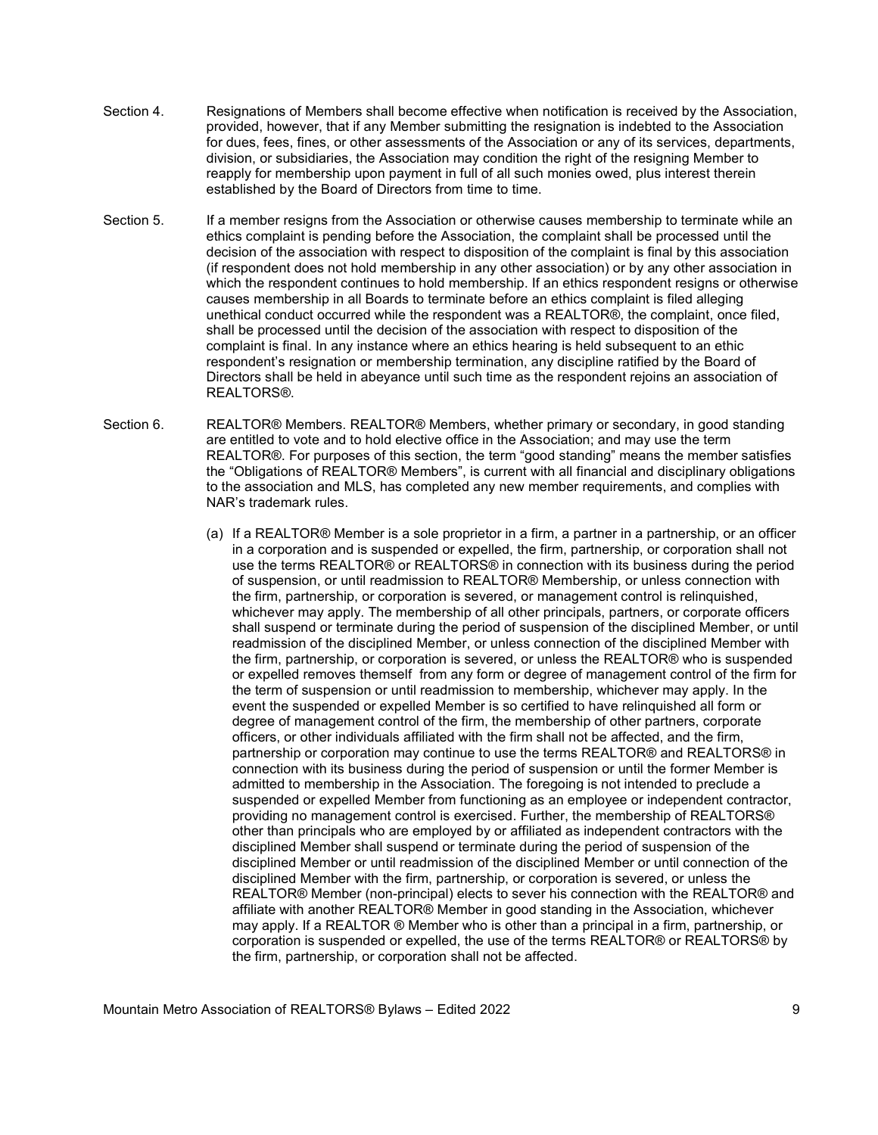- Section 4. Resignations of Members shall become effective when notification is received by the Association, provided, however, that if any Member submitting the resignation is indebted to the Association for dues, fees, fines, or other assessments of the Association or any of its services, departments, division, or subsidiaries, the Association may condition the right of the resigning Member to reapply for membership upon payment in full of all such monies owed, plus interest therein established by the Board of Directors from time to time.
- Section 5. If a member resigns from the Association or otherwise causes membership to terminate while an ethics complaint is pending before the Association, the complaint shall be processed until the decision of the association with respect to disposition of the complaint is final by this association (if respondent does not hold membership in any other association) or by any other association in which the respondent continues to hold membership. If an ethics respondent resigns or otherwise causes membership in all Boards to terminate before an ethics complaint is filed alleging unethical conduct occurred while the respondent was a REALTOR®, the complaint, once filed, shall be processed until the decision of the association with respect to disposition of the complaint is final. In any instance where an ethics hearing is held subsequent to an ethic respondent's resignation or membership termination, any discipline ratified by the Board of Directors shall be held in abeyance until such time as the respondent rejoins an association of REALTORS®.
- Section 6. REALTOR® Members. REALTOR® Members, whether primary or secondary, in good standing are entitled to vote and to hold elective office in the Association; and may use the term REALTOR®. For purposes of this section, the term "good standing" means the member satisfies the "Obligations of REALTOR® Members", is current with all financial and disciplinary obligations to the association and MLS, has completed any new member requirements, and complies with NAR's trademark rules.
	- (a) If a REALTOR® Member is a sole proprietor in a firm, a partner in a partnership, or an officer in a corporation and is suspended or expelled, the firm, partnership, or corporation shall not use the terms REALTOR® or REALTORS® in connection with its business during the period of suspension, or until readmission to REALTOR® Membership, or unless connection with the firm, partnership, or corporation is severed, or management control is relinquished, whichever may apply. The membership of all other principals, partners, or corporate officers shall suspend or terminate during the period of suspension of the disciplined Member, or until readmission of the disciplined Member, or unless connection of the disciplined Member with the firm, partnership, or corporation is severed, or unless the REALTOR® who is suspended or expelled removes themself from any form or degree of management control of the firm for the term of suspension or until readmission to membership, whichever may apply. In the event the suspended or expelled Member is so certified to have relinquished all form or degree of management control of the firm, the membership of other partners, corporate officers, or other individuals affiliated with the firm shall not be affected, and the firm, partnership or corporation may continue to use the terms REALTOR® and REALTORS® in connection with its business during the period of suspension or until the former Member is admitted to membership in the Association. The foregoing is not intended to preclude a suspended or expelled Member from functioning as an employee or independent contractor, providing no management control is exercised. Further, the membership of REALTORS® other than principals who are employed by or affiliated as independent contractors with the disciplined Member shall suspend or terminate during the period of suspension of the disciplined Member or until readmission of the disciplined Member or until connection of the disciplined Member with the firm, partnership, or corporation is severed, or unless the REALTOR® Member (non-principal) elects to sever his connection with the REALTOR® and affiliate with another REALTOR® Member in good standing in the Association, whichever may apply. If a REALTOR ® Member who is other than a principal in a firm, partnership, or corporation is suspended or expelled, the use of the terms REALTOR® or REALTORS® by the firm, partnership, or corporation shall not be affected.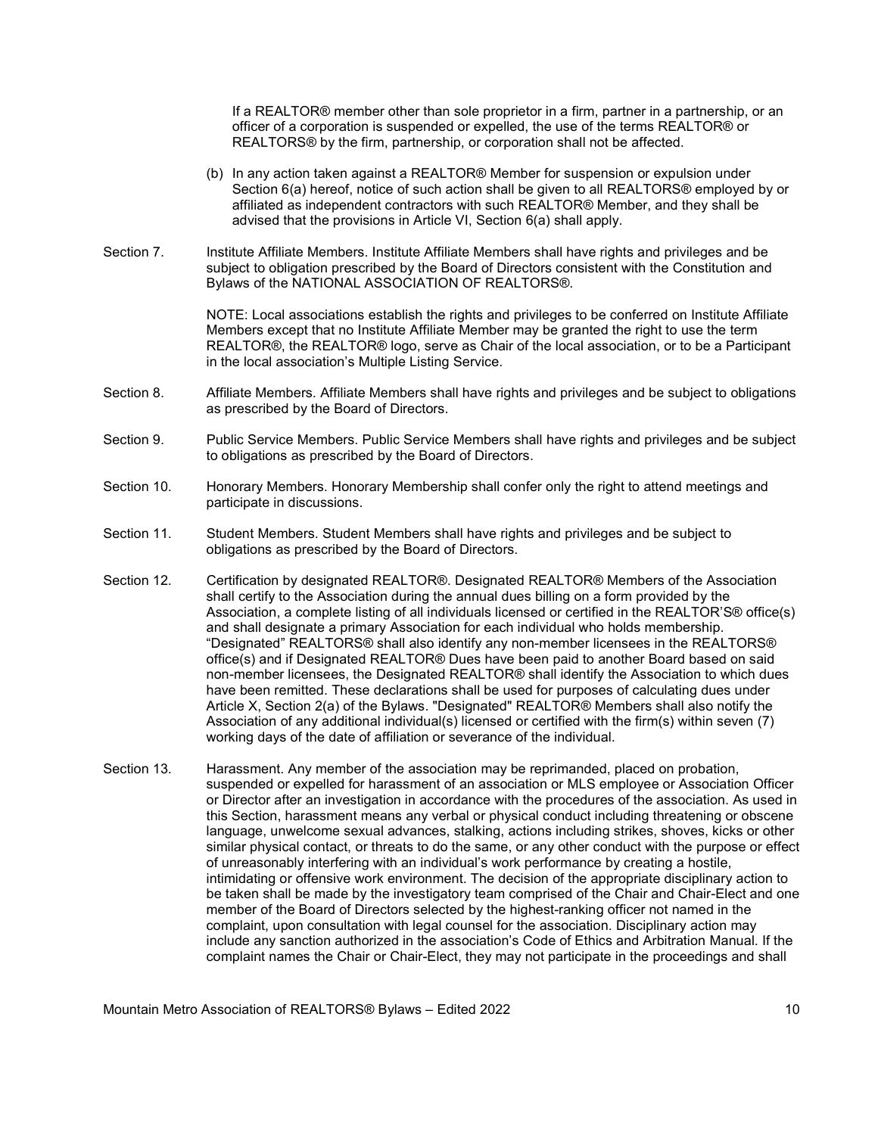If a REALTOR® member other than sole proprietor in a firm, partner in a partnership, or an officer of a corporation is suspended or expelled, the use of the terms REALTOR® or REALTORS® by the firm, partnership, or corporation shall not be affected.

- (b) In any action taken against a REALTOR® Member for suspension or expulsion under Section 6(a) hereof, notice of such action shall be given to all REALTORS® employed by or affiliated as independent contractors with such REALTOR® Member, and they shall be advised that the provisions in Article VI, Section 6(a) shall apply.
- Section 7. Institute Affiliate Members. Institute Affiliate Members shall have rights and privileges and be subject to obligation prescribed by the Board of Directors consistent with the Constitution and Bylaws of the NATIONAL ASSOCIATION OF REALTORS®.

 NOTE: Local associations establish the rights and privileges to be conferred on Institute Affiliate Members except that no Institute Affiliate Member may be granted the right to use the term REALTOR®, the REALTOR® logo, serve as Chair of the local association, or to be a Participant in the local association's Multiple Listing Service.

- Section 8. Affiliate Members. Affiliate Members shall have rights and privileges and be subject to obligations as prescribed by the Board of Directors.
- Section 9. Public Service Members. Public Service Members shall have rights and privileges and be subject to obligations as prescribed by the Board of Directors.
- Section 10. Honorary Members. Honorary Membership shall confer only the right to attend meetings and participate in discussions.
- Section 11. Student Members. Student Members shall have rights and privileges and be subject to obligations as prescribed by the Board of Directors.
- Section 12. Certification by designated REALTOR®. Designated REALTOR® Members of the Association shall certify to the Association during the annual dues billing on a form provided by the Association, a complete listing of all individuals licensed or certified in the REALTOR'S® office(s) and shall designate a primary Association for each individual who holds membership. "Designated" REALTORS® shall also identify any non-member licensees in the REALTORS® office(s) and if Designated REALTOR® Dues have been paid to another Board based on said non-member licensees, the Designated REALTOR® shall identify the Association to which dues have been remitted. These declarations shall be used for purposes of calculating dues under Article X, Section 2(a) of the Bylaws. "Designated" REALTOR® Members shall also notify the Association of any additional individual(s) licensed or certified with the firm(s) within seven (7) working days of the date of affiliation or severance of the individual.
- Section 13. Harassment. Any member of the association may be reprimanded, placed on probation, suspended or expelled for harassment of an association or MLS employee or Association Officer or Director after an investigation in accordance with the procedures of the association. As used in this Section, harassment means any verbal or physical conduct including threatening or obscene language, unwelcome sexual advances, stalking, actions including strikes, shoves, kicks or other similar physical contact, or threats to do the same, or any other conduct with the purpose or effect of unreasonably interfering with an individual's work performance by creating a hostile, intimidating or offensive work environment. The decision of the appropriate disciplinary action to be taken shall be made by the investigatory team comprised of the Chair and Chair-Elect and one member of the Board of Directors selected by the highest-ranking officer not named in the complaint, upon consultation with legal counsel for the association. Disciplinary action may include any sanction authorized in the association's Code of Ethics and Arbitration Manual. If the complaint names the Chair or Chair-Elect, they may not participate in the proceedings and shall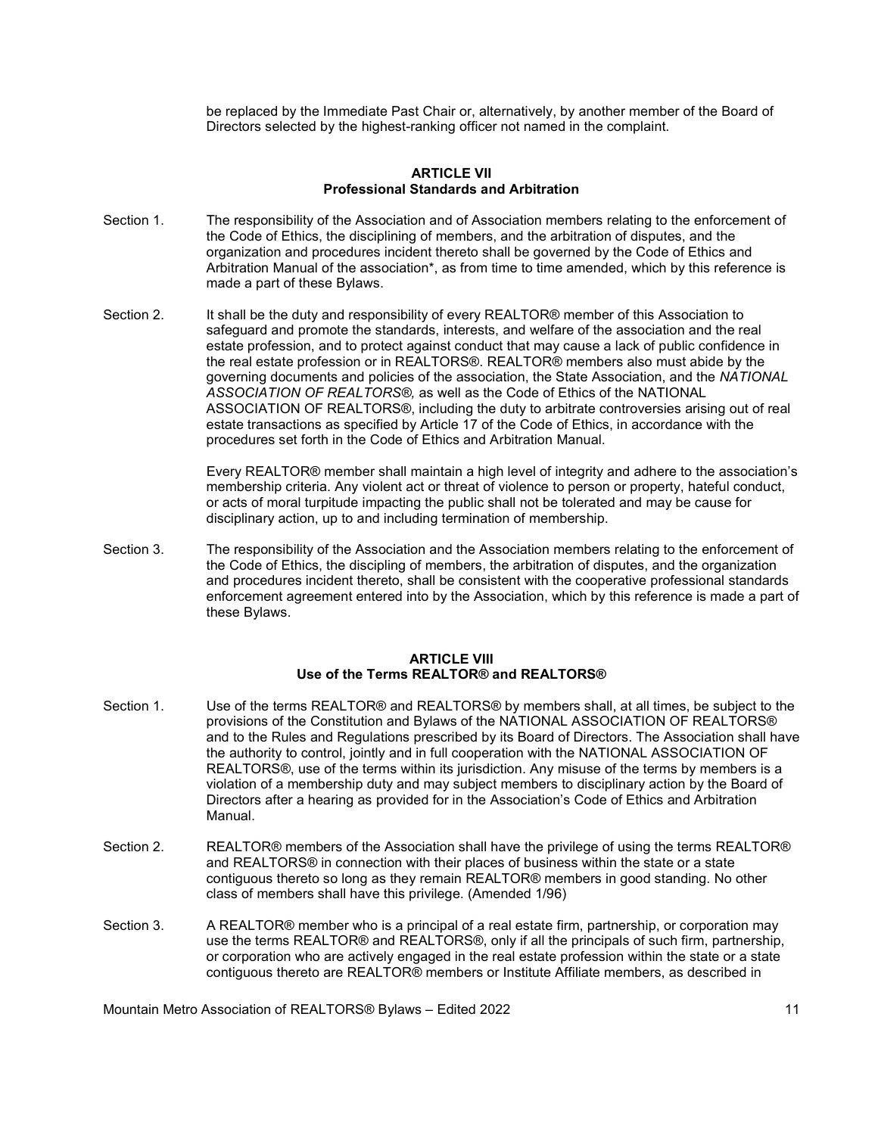be replaced by the Immediate Past Chair or, alternatively, by another member of the Board of Directors selected by the highest-ranking officer not named in the complaint.

#### ARTICLE VII Professional Standards and Arbitration

- Section 1. The responsibility of the Association and of Association members relating to the enforcement of the Code of Ethics, the disciplining of members, and the arbitration of disputes, and the organization and procedures incident thereto shall be governed by the Code of Ethics and Arbitration Manual of the association\*, as from time to time amended, which by this reference is made a part of these Bylaws.
- Section 2. It shall be the duty and responsibility of every REALTOR® member of this Association to safeguard and promote the standards, interests, and welfare of the association and the real estate profession, and to protect against conduct that may cause a lack of public confidence in the real estate profession or in REALTORS®. REALTOR® members also must abide by the governing documents and policies of the association, the State Association, and the NATIONAL ASSOCIATION OF REALTORS®, as well as the Code of Ethics of the NATIONAL ASSOCIATION OF REALTORS®, including the duty to arbitrate controversies arising out of real estate transactions as specified by Article 17 of the Code of Ethics, in accordance with the procedures set forth in the Code of Ethics and Arbitration Manual.

 Every REALTOR® member shall maintain a high level of integrity and adhere to the association's membership criteria. Any violent act or threat of violence to person or property, hateful conduct, or acts of moral turpitude impacting the public shall not be tolerated and may be cause for disciplinary action, up to and including termination of membership.

Section 3. The responsibility of the Association and the Association members relating to the enforcement of the Code of Ethics, the discipling of members, the arbitration of disputes, and the organization and procedures incident thereto, shall be consistent with the cooperative professional standards enforcement agreement entered into by the Association, which by this reference is made a part of these Bylaws.

#### ARTICLE VIII Use of the Terms REALTOR® and REALTORS®

- Section 1. Use of the terms REALTOR® and REALTORS® by members shall, at all times, be subject to the provisions of the Constitution and Bylaws of the NATIONAL ASSOCIATION OF REALTORS® and to the Rules and Regulations prescribed by its Board of Directors. The Association shall have the authority to control, jointly and in full cooperation with the NATIONAL ASSOCIATION OF REALTORS®, use of the terms within its jurisdiction. Any misuse of the terms by members is a violation of a membership duty and may subject members to disciplinary action by the Board of Directors after a hearing as provided for in the Association's Code of Ethics and Arbitration Manual.
- Section 2. REALTOR® members of the Association shall have the privilege of using the terms REALTOR® and REALTORS® in connection with their places of business within the state or a state contiguous thereto so long as they remain REALTOR® members in good standing. No other class of members shall have this privilege. (Amended 1/96)
- Section 3. A REALTOR® member who is a principal of a real estate firm, partnership, or corporation may use the terms REALTOR® and REALTORS®, only if all the principals of such firm, partnership, or corporation who are actively engaged in the real estate profession within the state or a state contiguous thereto are REALTOR® members or Institute Affiliate members, as described in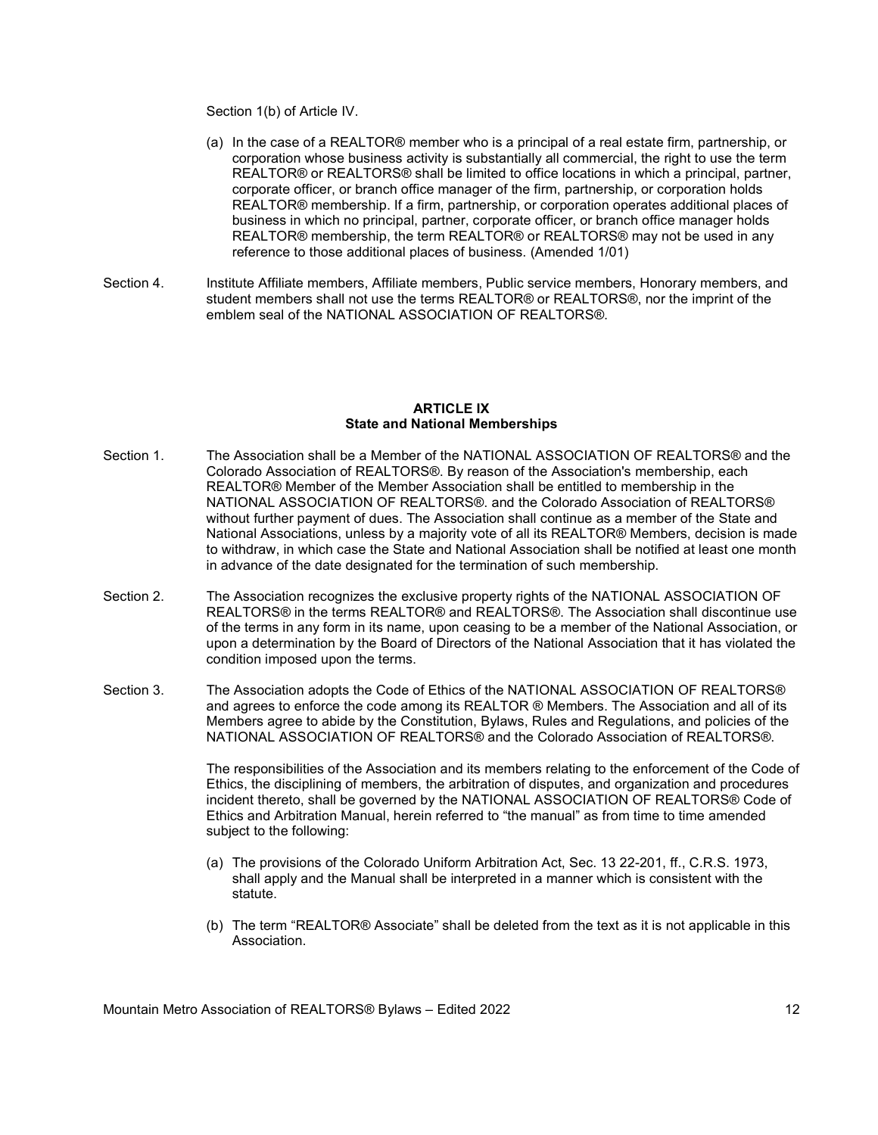Section 1(b) of Article IV.

- (a) In the case of a REALTOR® member who is a principal of a real estate firm, partnership, or corporation whose business activity is substantially all commercial, the right to use the term REALTOR® or REALTORS® shall be limited to office locations in which a principal, partner, corporate officer, or branch office manager of the firm, partnership, or corporation holds REALTOR® membership. If a firm, partnership, or corporation operates additional places of business in which no principal, partner, corporate officer, or branch office manager holds REALTOR® membership, the term REALTOR® or REALTORS® may not be used in any reference to those additional places of business. (Amended 1/01)
- Section 4. Institute Affiliate members, Affiliate members, Public service members, Honorary members, and student members shall not use the terms REALTOR® or REALTORS®, nor the imprint of the emblem seal of the NATIONAL ASSOCIATION OF REALTORS®.

## ARTICLE IX State and National Memberships

- Section 1. The Association shall be a Member of the NATIONAL ASSOCIATION OF REALTORS® and the Colorado Association of REALTORS®. By reason of the Association's membership, each REALTOR® Member of the Member Association shall be entitled to membership in the NATIONAL ASSOCIATION OF REALTORS®. and the Colorado Association of REALTORS® without further payment of dues. The Association shall continue as a member of the State and National Associations, unless by a majority vote of all its REALTOR® Members, decision is made to withdraw, in which case the State and National Association shall be notified at least one month in advance of the date designated for the termination of such membership.
- Section 2. The Association recognizes the exclusive property rights of the NATIONAL ASSOCIATION OF REALTORS® in the terms REALTOR® and REALTORS®. The Association shall discontinue use of the terms in any form in its name, upon ceasing to be a member of the National Association, or upon a determination by the Board of Directors of the National Association that it has violated the condition imposed upon the terms.
- Section 3. The Association adopts the Code of Ethics of the NATIONAL ASSOCIATION OF REALTORS® and agrees to enforce the code among its REALTOR ® Members. The Association and all of its Members agree to abide by the Constitution, Bylaws, Rules and Regulations, and policies of the NATIONAL ASSOCIATION OF REALTORS® and the Colorado Association of REALTORS®.

 The responsibilities of the Association and its members relating to the enforcement of the Code of Ethics, the disciplining of members, the arbitration of disputes, and organization and procedures incident thereto, shall be governed by the NATIONAL ASSOCIATION OF REALTORS® Code of Ethics and Arbitration Manual, herein referred to "the manual" as from time to time amended subject to the following:

- (a) The provisions of the Colorado Uniform Arbitration Act, Sec. 13 22-201, ff., C.R.S. 1973, shall apply and the Manual shall be interpreted in a manner which is consistent with the statute.
- (b) The term "REALTOR® Associate" shall be deleted from the text as it is not applicable in this Association.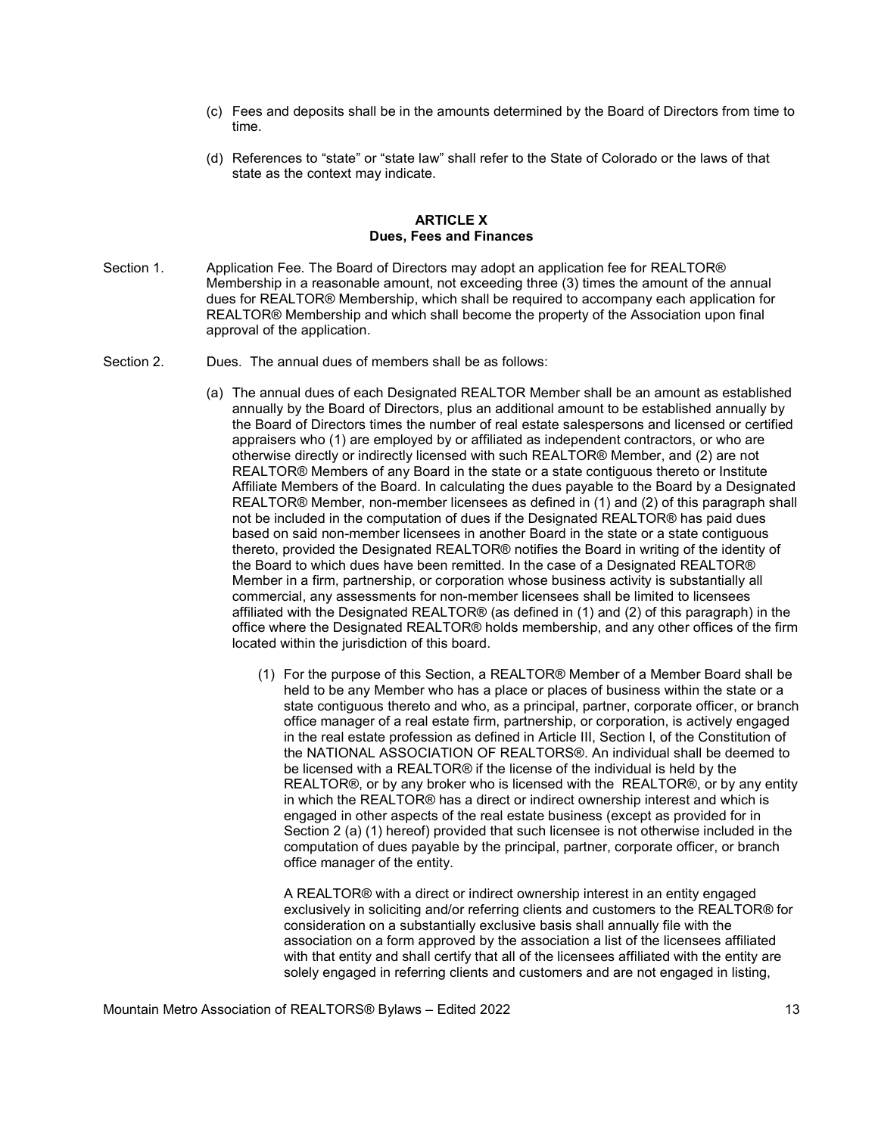- (c) Fees and deposits shall be in the amounts determined by the Board of Directors from time to time.
- (d) References to "state" or "state law" shall refer to the State of Colorado or the laws of that state as the context may indicate.

#### ARTICLE X Dues, Fees and Finances

- Section 1. Application Fee. The Board of Directors may adopt an application fee for REALTOR® Membership in a reasonable amount, not exceeding three (3) times the amount of the annual dues for REALTOR® Membership, which shall be required to accompany each application for REALTOR® Membership and which shall become the property of the Association upon final approval of the application.
- Section 2. Dues. The annual dues of members shall be as follows:
	- (a) The annual dues of each Designated REALTOR Member shall be an amount as established annually by the Board of Directors, plus an additional amount to be established annually by the Board of Directors times the number of real estate salespersons and licensed or certified appraisers who (1) are employed by or affiliated as independent contractors, or who are otherwise directly or indirectly licensed with such REALTOR® Member, and (2) are not REALTOR® Members of any Board in the state or a state contiguous thereto or Institute Affiliate Members of the Board. In calculating the dues payable to the Board by a Designated REALTOR® Member, non-member licensees as defined in (1) and (2) of this paragraph shall not be included in the computation of dues if the Designated REALTOR® has paid dues based on said non-member licensees in another Board in the state or a state contiguous thereto, provided the Designated REALTOR® notifies the Board in writing of the identity of the Board to which dues have been remitted. In the case of a Designated REALTOR® Member in a firm, partnership, or corporation whose business activity is substantially all commercial, any assessments for non-member licensees shall be limited to licensees affiliated with the Designated REALTOR® (as defined in (1) and (2) of this paragraph) in the office where the Designated REALTOR® holds membership, and any other offices of the firm located within the jurisdiction of this board.
		- (1) For the purpose of this Section, a REALTOR® Member of a Member Board shall be held to be any Member who has a place or places of business within the state or a state contiguous thereto and who, as a principal, partner, corporate officer, or branch office manager of a real estate firm, partnership, or corporation, is actively engaged in the real estate profession as defined in Article III, Section l, of the Constitution of the NATIONAL ASSOCIATION OF REALTORS®. An individual shall be deemed to be licensed with a REALTOR® if the license of the individual is held by the REALTOR®, or by any broker who is licensed with the REALTOR®, or by any entity in which the REALTOR® has a direct or indirect ownership interest and which is engaged in other aspects of the real estate business (except as provided for in Section 2 (a) (1) hereof) provided that such licensee is not otherwise included in the computation of dues payable by the principal, partner, corporate officer, or branch office manager of the entity.

A REALTOR® with a direct or indirect ownership interest in an entity engaged exclusively in soliciting and/or referring clients and customers to the REALTOR® for consideration on a substantially exclusive basis shall annually file with the association on a form approved by the association a list of the licensees affiliated with that entity and shall certify that all of the licensees affiliated with the entity are solely engaged in referring clients and customers and are not engaged in listing,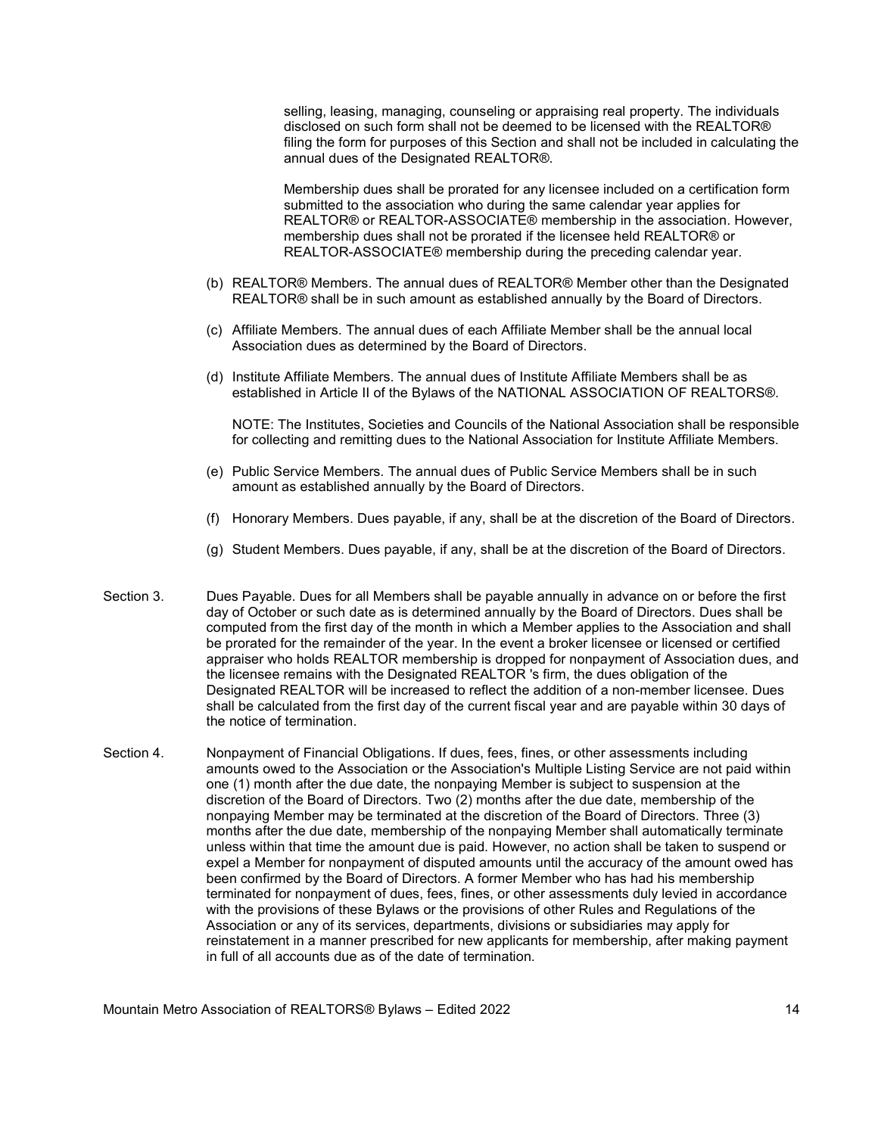selling, leasing, managing, counseling or appraising real property. The individuals disclosed on such form shall not be deemed to be licensed with the REALTOR® filing the form for purposes of this Section and shall not be included in calculating the annual dues of the Designated REALTOR®.

Membership dues shall be prorated for any licensee included on a certification form submitted to the association who during the same calendar year applies for REALTOR® or REALTOR-ASSOCIATE® membership in the association. However, membership dues shall not be prorated if the licensee held REALTOR® or REALTOR-ASSOCIATE® membership during the preceding calendar year.

- (b) REALTOR® Members. The annual dues of REALTOR® Member other than the Designated REALTOR® shall be in such amount as established annually by the Board of Directors.
- (c) Affiliate Members. The annual dues of each Affiliate Member shall be the annual local Association dues as determined by the Board of Directors.
- (d) Institute Affiliate Members. The annual dues of Institute Affiliate Members shall be as established in Article II of the Bylaws of the NATIONAL ASSOCIATION OF REALTORS®.

NOTE: The Institutes, Societies and Councils of the National Association shall be responsible for collecting and remitting dues to the National Association for Institute Affiliate Members.

- (e) Public Service Members. The annual dues of Public Service Members shall be in such amount as established annually by the Board of Directors.
- (f) Honorary Members. Dues payable, if any, shall be at the discretion of the Board of Directors.
- (g) Student Members. Dues payable, if any, shall be at the discretion of the Board of Directors.
- Section 3. Dues Payable. Dues for all Members shall be payable annually in advance on or before the first day of October or such date as is determined annually by the Board of Directors. Dues shall be computed from the first day of the month in which a Member applies to the Association and shall be prorated for the remainder of the year. In the event a broker licensee or licensed or certified appraiser who holds REALTOR membership is dropped for nonpayment of Association dues, and the licensee remains with the Designated REALTOR 's firm, the dues obligation of the Designated REALTOR will be increased to reflect the addition of a non-member licensee. Dues shall be calculated from the first day of the current fiscal year and are payable within 30 days of the notice of termination.
- Section 4. Nonpayment of Financial Obligations. If dues, fees, fines, or other assessments including amounts owed to the Association or the Association's Multiple Listing Service are not paid within one (1) month after the due date, the nonpaying Member is subject to suspension at the discretion of the Board of Directors. Two (2) months after the due date, membership of the nonpaying Member may be terminated at the discretion of the Board of Directors. Three (3) months after the due date, membership of the nonpaying Member shall automatically terminate unless within that time the amount due is paid. However, no action shall be taken to suspend or expel a Member for nonpayment of disputed amounts until the accuracy of the amount owed has been confirmed by the Board of Directors. A former Member who has had his membership terminated for nonpayment of dues, fees, fines, or other assessments duly levied in accordance with the provisions of these Bylaws or the provisions of other Rules and Regulations of the Association or any of its services, departments, divisions or subsidiaries may apply for reinstatement in a manner prescribed for new applicants for membership, after making payment in full of all accounts due as of the date of termination.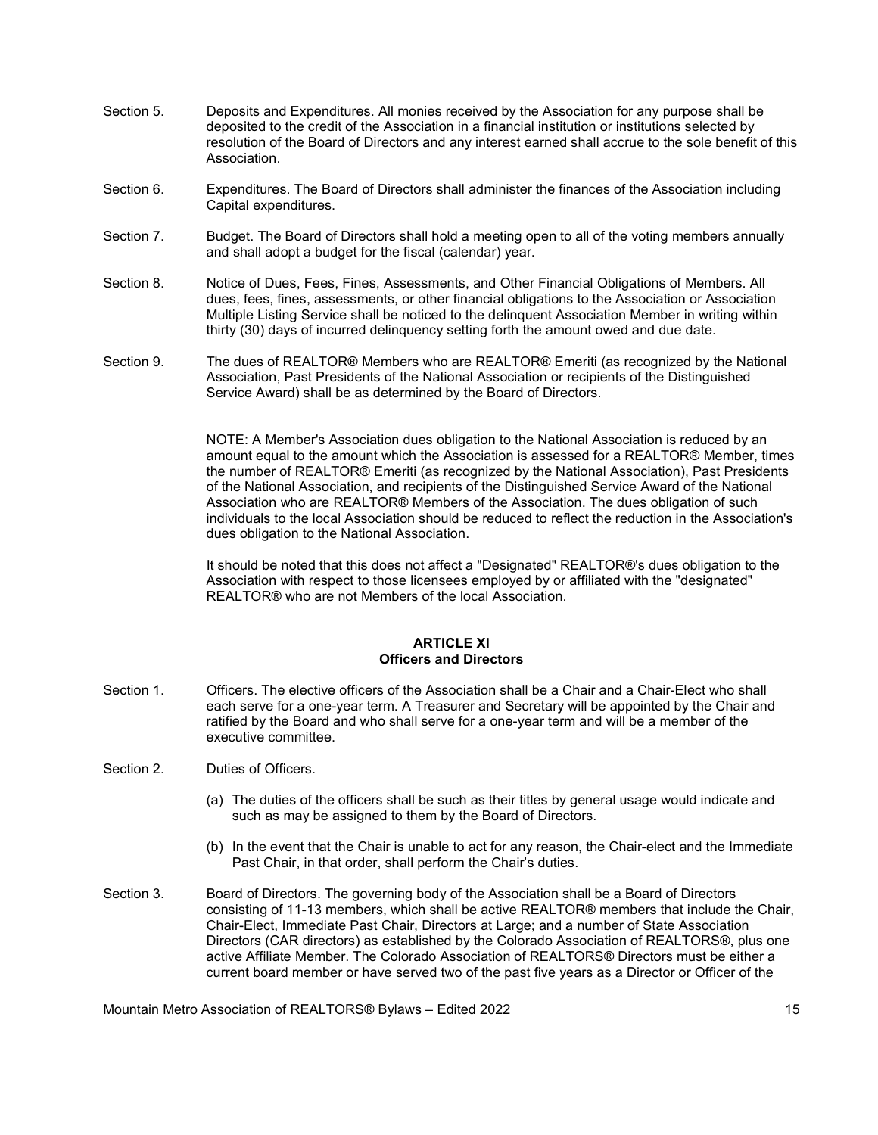- Section 5. Deposits and Expenditures. All monies received by the Association for any purpose shall be deposited to the credit of the Association in a financial institution or institutions selected by resolution of the Board of Directors and any interest earned shall accrue to the sole benefit of this Association.
- Section 6. Expenditures. The Board of Directors shall administer the finances of the Association including Capital expenditures.
- Section 7. Budget. The Board of Directors shall hold a meeting open to all of the voting members annually and shall adopt a budget for the fiscal (calendar) year.
- Section 8. Notice of Dues, Fees, Fines, Assessments, and Other Financial Obligations of Members. All dues, fees, fines, assessments, or other financial obligations to the Association or Association Multiple Listing Service shall be noticed to the delinquent Association Member in writing within thirty (30) days of incurred delinquency setting forth the amount owed and due date.
- Section 9. The dues of REALTOR® Members who are REALTOR® Emeriti (as recognized by the National Association, Past Presidents of the National Association or recipients of the Distinguished Service Award) shall be as determined by the Board of Directors.

 NOTE: A Member's Association dues obligation to the National Association is reduced by an amount equal to the amount which the Association is assessed for a REALTOR® Member, times the number of REALTOR® Emeriti (as recognized by the National Association), Past Presidents of the National Association, and recipients of the Distinguished Service Award of the National Association who are REALTOR® Members of the Association. The dues obligation of such individuals to the local Association should be reduced to reflect the reduction in the Association's dues obligation to the National Association.

 It should be noted that this does not affect a "Designated" REALTOR®'s dues obligation to the Association with respect to those licensees employed by or affiliated with the "designated" REALTOR® who are not Members of the local Association.

## ARTICLE XI Officers and Directors

- Section 1. Officers. The elective officers of the Association shall be a Chair and a Chair-Elect who shall each serve for a one-year term. A Treasurer and Secretary will be appointed by the Chair and ratified by the Board and who shall serve for a one-year term and will be a member of the executive committee.
- Section 2. Duties of Officers.
	- (a) The duties of the officers shall be such as their titles by general usage would indicate and such as may be assigned to them by the Board of Directors.
	- (b) In the event that the Chair is unable to act for any reason, the Chair-elect and the Immediate Past Chair, in that order, shall perform the Chair's duties.
- Section 3. Board of Directors. The governing body of the Association shall be a Board of Directors consisting of 11-13 members, which shall be active REALTOR® members that include the Chair, Chair-Elect, Immediate Past Chair, Directors at Large; and a number of State Association Directors (CAR directors) as established by the Colorado Association of REALTORS®, plus one active Affiliate Member. The Colorado Association of REALTORS® Directors must be either a current board member or have served two of the past five years as a Director or Officer of the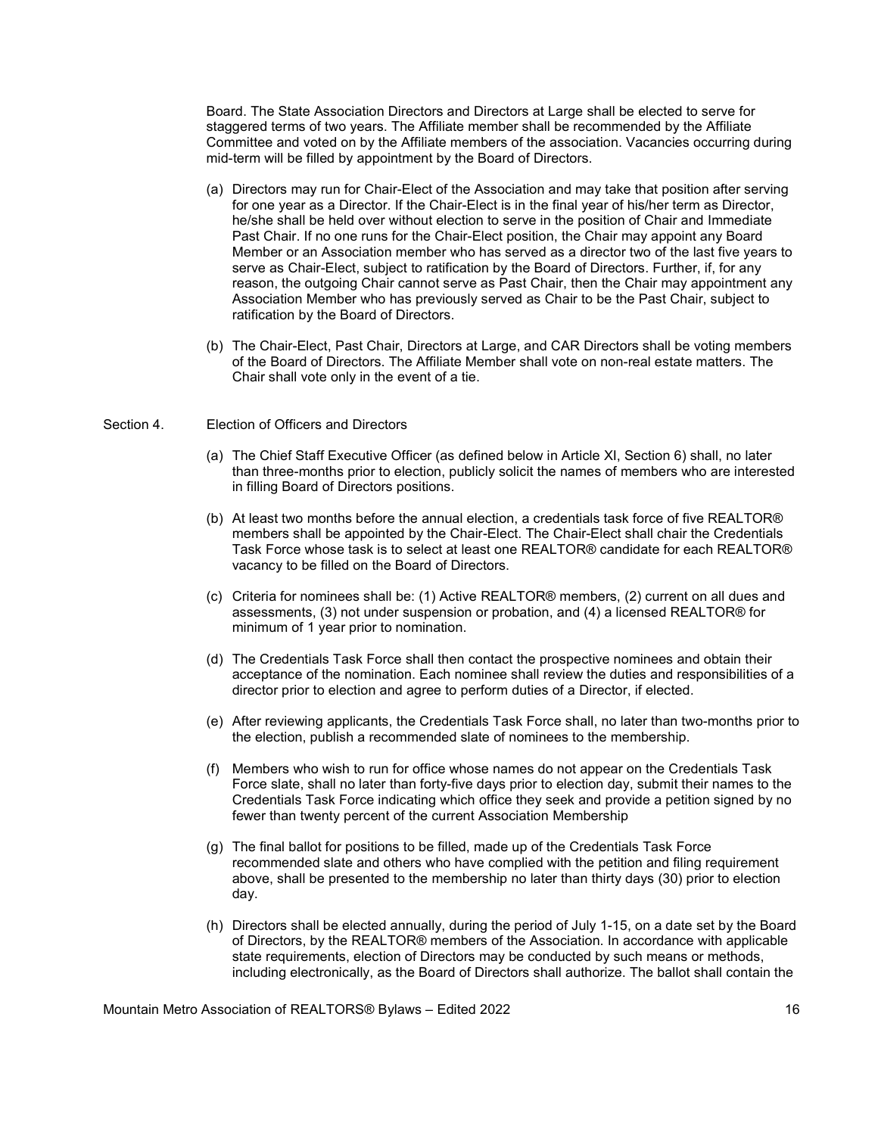Board. The State Association Directors and Directors at Large shall be elected to serve for staggered terms of two years. The Affiliate member shall be recommended by the Affiliate Committee and voted on by the Affiliate members of the association. Vacancies occurring during mid-term will be filled by appointment by the Board of Directors.

- (a) Directors may run for Chair-Elect of the Association and may take that position after serving for one year as a Director. If the Chair-Elect is in the final year of his/her term as Director, he/she shall be held over without election to serve in the position of Chair and Immediate Past Chair. If no one runs for the Chair-Elect position, the Chair may appoint any Board Member or an Association member who has served as a director two of the last five years to serve as Chair-Elect, subject to ratification by the Board of Directors. Further, if, for any reason, the outgoing Chair cannot serve as Past Chair, then the Chair may appointment any Association Member who has previously served as Chair to be the Past Chair, subject to ratification by the Board of Directors.
- (b) The Chair-Elect, Past Chair, Directors at Large, and CAR Directors shall be voting members of the Board of Directors. The Affiliate Member shall vote on non-real estate matters. The Chair shall vote only in the event of a tie.

#### Section 4. Election of Officers and Directors

- (a) The Chief Staff Executive Officer (as defined below in Article XI, Section 6) shall, no later than three-months prior to election, publicly solicit the names of members who are interested in filling Board of Directors positions.
- (b) At least two months before the annual election, a credentials task force of five REALTOR® members shall be appointed by the Chair-Elect. The Chair-Elect shall chair the Credentials Task Force whose task is to select at least one REALTOR® candidate for each REALTOR® vacancy to be filled on the Board of Directors.
- (c) Criteria for nominees shall be: (1) Active REALTOR® members, (2) current on all dues and assessments, (3) not under suspension or probation, and (4) a licensed REALTOR® for minimum of 1 year prior to nomination.
- (d) The Credentials Task Force shall then contact the prospective nominees and obtain their acceptance of the nomination. Each nominee shall review the duties and responsibilities of a director prior to election and agree to perform duties of a Director, if elected.
- (e) After reviewing applicants, the Credentials Task Force shall, no later than two-months prior to the election, publish a recommended slate of nominees to the membership.
- (f) Members who wish to run for office whose names do not appear on the Credentials Task Force slate, shall no later than forty-five days prior to election day, submit their names to the Credentials Task Force indicating which office they seek and provide a petition signed by no fewer than twenty percent of the current Association Membership
- (g) The final ballot for positions to be filled, made up of the Credentials Task Force recommended slate and others who have complied with the petition and filing requirement above, shall be presented to the membership no later than thirty days (30) prior to election day.
- (h) Directors shall be elected annually, during the period of July 1-15, on a date set by the Board of Directors, by the REALTOR® members of the Association. In accordance with applicable state requirements, election of Directors may be conducted by such means or methods, including electronically, as the Board of Directors shall authorize. The ballot shall contain the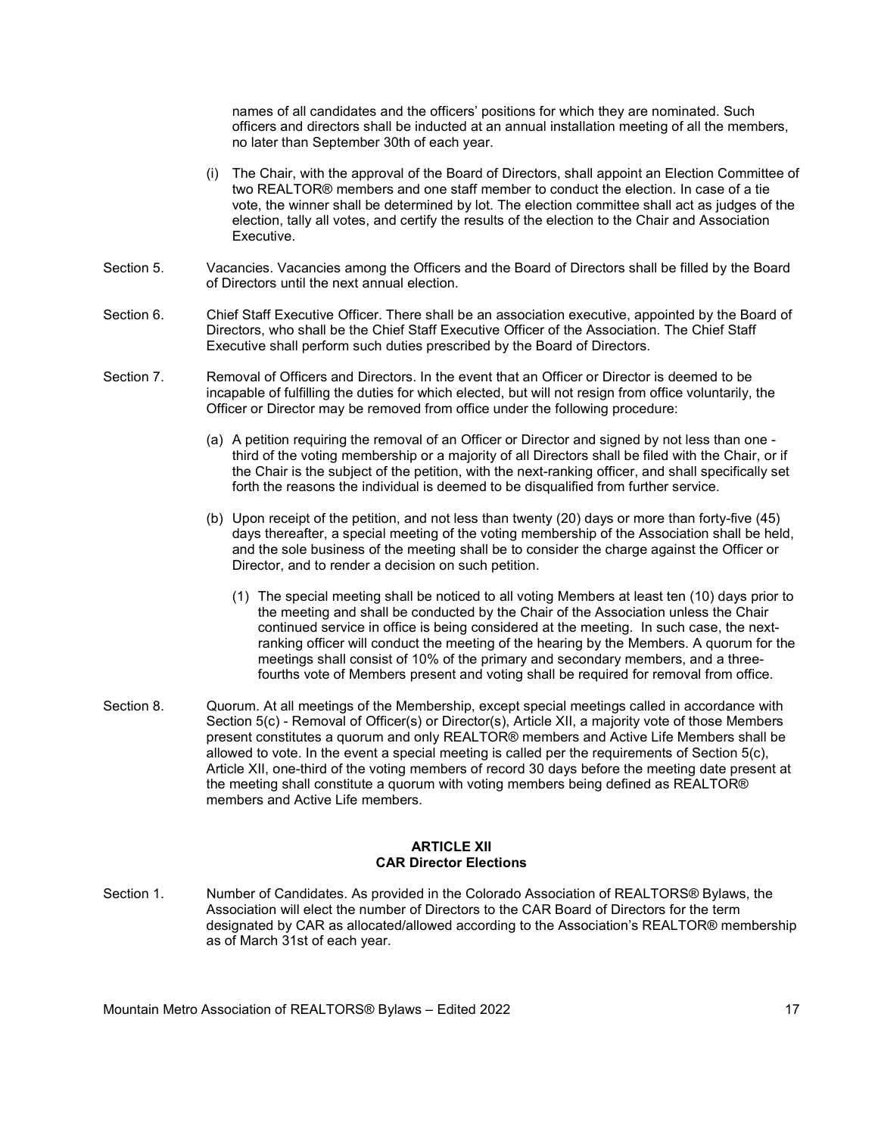names of all candidates and the officers' positions for which they are nominated. Such officers and directors shall be inducted at an annual installation meeting of all the members, no later than September 30th of each year.

- (i) The Chair, with the approval of the Board of Directors, shall appoint an Election Committee of two REALTOR® members and one staff member to conduct the election. In case of a tie vote, the winner shall be determined by lot. The election committee shall act as judges of the election, tally all votes, and certify the results of the election to the Chair and Association Executive.
- Section 5. Vacancies. Vacancies among the Officers and the Board of Directors shall be filled by the Board of Directors until the next annual election.
- Section 6. Chief Staff Executive Officer. There shall be an association executive, appointed by the Board of Directors, who shall be the Chief Staff Executive Officer of the Association. The Chief Staff Executive shall perform such duties prescribed by the Board of Directors.
- Section 7. Removal of Officers and Directors. In the event that an Officer or Director is deemed to be incapable of fulfilling the duties for which elected, but will not resign from office voluntarily, the Officer or Director may be removed from office under the following procedure:
	- (a) A petition requiring the removal of an Officer or Director and signed by not less than one third of the voting membership or a majority of all Directors shall be filed with the Chair, or if the Chair is the subject of the petition, with the next-ranking officer, and shall specifically set forth the reasons the individual is deemed to be disqualified from further service.
	- (b) Upon receipt of the petition, and not less than twenty (20) days or more than forty-five (45) days thereafter, a special meeting of the voting membership of the Association shall be held, and the sole business of the meeting shall be to consider the charge against the Officer or Director, and to render a decision on such petition.
		- (1) The special meeting shall be noticed to all voting Members at least ten (10) days prior to the meeting and shall be conducted by the Chair of the Association unless the Chair continued service in office is being considered at the meeting. In such case, the nextranking officer will conduct the meeting of the hearing by the Members. A quorum for the meetings shall consist of 10% of the primary and secondary members, and a threefourths vote of Members present and voting shall be required for removal from office.
- Section 8. Quorum. At all meetings of the Membership, except special meetings called in accordance with Section 5(c) - Removal of Officer(s) or Director(s), Article XII, a majority vote of those Members present constitutes a quorum and only REALTOR® members and Active Life Members shall be allowed to vote. In the event a special meeting is called per the requirements of Section 5(c), Article XII, one-third of the voting members of record 30 days before the meeting date present at the meeting shall constitute a quorum with voting members being defined as REALTOR® members and Active Life members.

## ARTICLE XII CAR Director Elections

Section 1. Number of Candidates. As provided in the Colorado Association of REALTORS® Bylaws, the Association will elect the number of Directors to the CAR Board of Directors for the term designated by CAR as allocated/allowed according to the Association's REALTOR® membership as of March 31st of each year.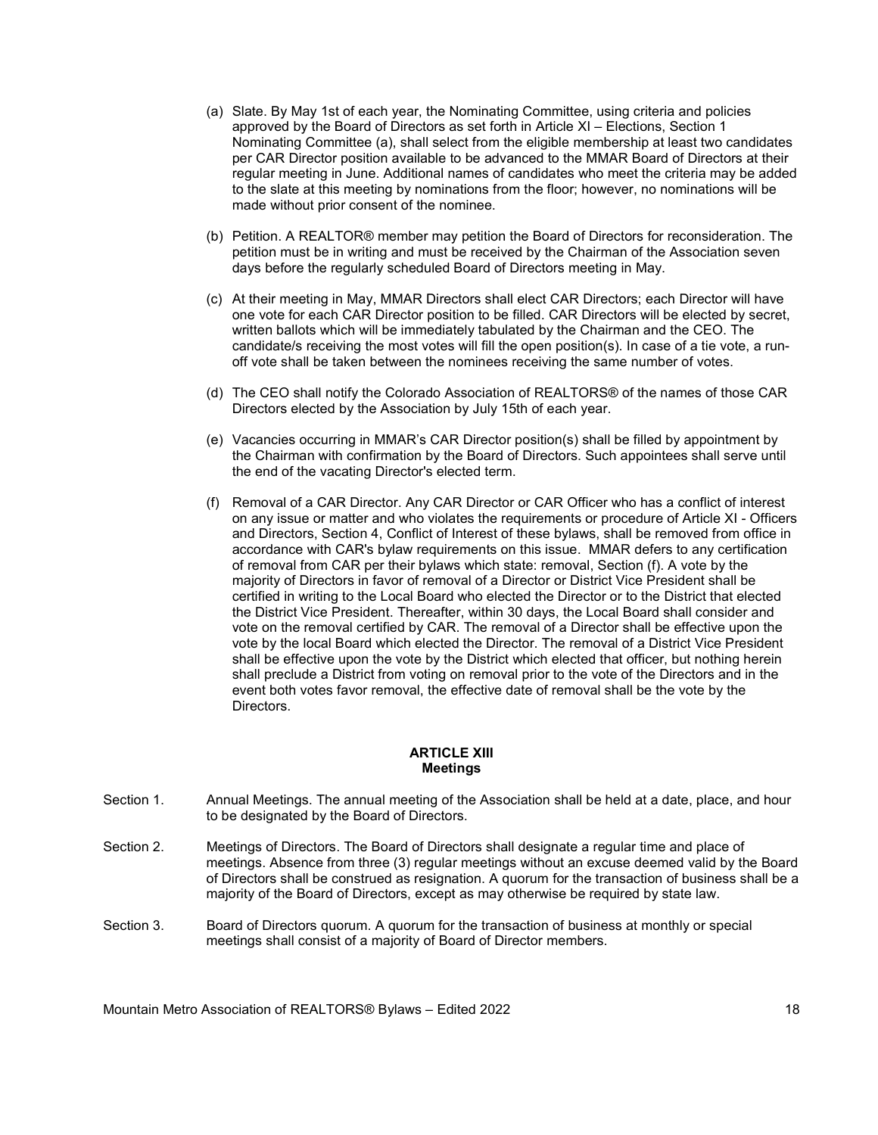- (a) Slate. By May 1st of each year, the Nominating Committee, using criteria and policies approved by the Board of Directors as set forth in Article XI – Elections, Section 1 Nominating Committee (a), shall select from the eligible membership at least two candidates per CAR Director position available to be advanced to the MMAR Board of Directors at their regular meeting in June. Additional names of candidates who meet the criteria may be added to the slate at this meeting by nominations from the floor; however, no nominations will be made without prior consent of the nominee.
- (b) Petition. A REALTOR® member may petition the Board of Directors for reconsideration. The petition must be in writing and must be received by the Chairman of the Association seven days before the regularly scheduled Board of Directors meeting in May.
- (c) At their meeting in May, MMAR Directors shall elect CAR Directors; each Director will have one vote for each CAR Director position to be filled. CAR Directors will be elected by secret, written ballots which will be immediately tabulated by the Chairman and the CEO. The candidate/s receiving the most votes will fill the open position(s). In case of a tie vote, a runoff vote shall be taken between the nominees receiving the same number of votes.
- (d) The CEO shall notify the Colorado Association of REALTORS® of the names of those CAR Directors elected by the Association by July 15th of each year.
- (e) Vacancies occurring in MMAR's CAR Director position(s) shall be filled by appointment by the Chairman with confirmation by the Board of Directors. Such appointees shall serve until the end of the vacating Director's elected term.
- (f) Removal of a CAR Director. Any CAR Director or CAR Officer who has a conflict of interest on any issue or matter and who violates the requirements or procedure of Article XI - Officers and Directors, Section 4, Conflict of Interest of these bylaws, shall be removed from office in accordance with CAR's bylaw requirements on this issue. MMAR defers to any certification of removal from CAR per their bylaws which state: removal, Section (f). A vote by the majority of Directors in favor of removal of a Director or District Vice President shall be certified in writing to the Local Board who elected the Director or to the District that elected the District Vice President. Thereafter, within 30 days, the Local Board shall consider and vote on the removal certified by CAR. The removal of a Director shall be effective upon the vote by the local Board which elected the Director. The removal of a District Vice President shall be effective upon the vote by the District which elected that officer, but nothing herein shall preclude a District from voting on removal prior to the vote of the Directors and in the event both votes favor removal, the effective date of removal shall be the vote by the **Directors**

#### ARTICLE XIII **Meetings**

- Section 1. Annual Meetings. The annual meeting of the Association shall be held at a date, place, and hour to be designated by the Board of Directors.
- Section 2. Meetings of Directors. The Board of Directors shall designate a regular time and place of meetings. Absence from three (3) regular meetings without an excuse deemed valid by the Board of Directors shall be construed as resignation. A quorum for the transaction of business shall be a majority of the Board of Directors, except as may otherwise be required by state law.
- Section 3. Board of Directors quorum. A quorum for the transaction of business at monthly or special meetings shall consist of a majority of Board of Director members.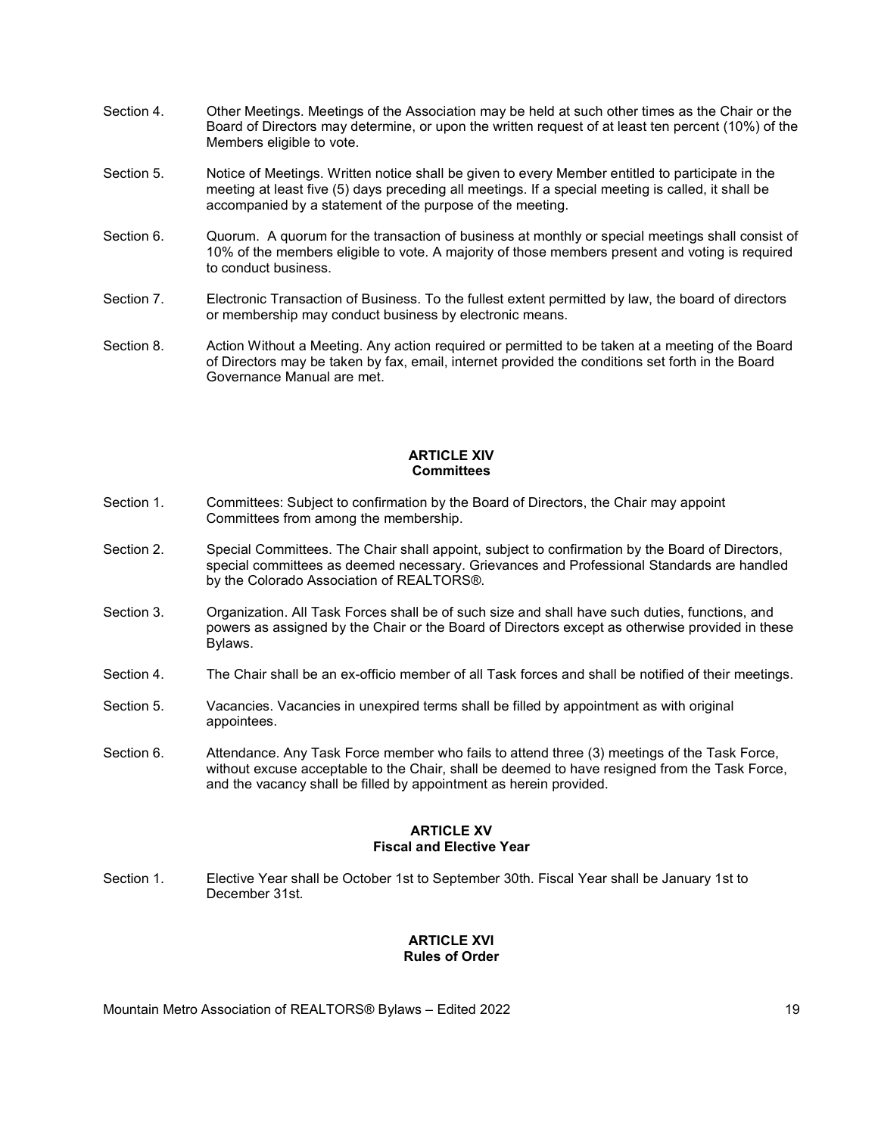- Section 4. Other Meetings. Meetings of the Association may be held at such other times as the Chair or the Board of Directors may determine, or upon the written request of at least ten percent (10%) of the Members eligible to vote.
- Section 5. Notice of Meetings. Written notice shall be given to every Member entitled to participate in the meeting at least five (5) days preceding all meetings. If a special meeting is called, it shall be accompanied by a statement of the purpose of the meeting.
- Section 6. Quorum. A quorum for the transaction of business at monthly or special meetings shall consist of 10% of the members eligible to vote. A majority of those members present and voting is required to conduct business.
- Section 7. Electronic Transaction of Business. To the fullest extent permitted by law, the board of directors or membership may conduct business by electronic means.
- Section 8. Action Without a Meeting. Any action required or permitted to be taken at a meeting of the Board of Directors may be taken by fax, email, internet provided the conditions set forth in the Board Governance Manual are met.

### ARTICLE XIV **Committees**

- Section 1. Committees: Subject to confirmation by the Board of Directors, the Chair may appoint Committees from among the membership.
- Section 2. Special Committees. The Chair shall appoint, subject to confirmation by the Board of Directors, special committees as deemed necessary. Grievances and Professional Standards are handled by the Colorado Association of REALTORS®.
- Section 3. Organization. All Task Forces shall be of such size and shall have such duties, functions, and powers as assigned by the Chair or the Board of Directors except as otherwise provided in these Bylaws.
- Section 4. The Chair shall be an ex-officio member of all Task forces and shall be notified of their meetings.
- Section 5. Vacancies. Vacancies in unexpired terms shall be filled by appointment as with original appointees.
- Section 6. Attendance. Any Task Force member who fails to attend three (3) meetings of the Task Force, without excuse acceptable to the Chair, shall be deemed to have resigned from the Task Force, and the vacancy shall be filled by appointment as herein provided.

## ARTICLE XV Fiscal and Elective Year

Section 1. Elective Year shall be October 1st to September 30th. Fiscal Year shall be January 1st to December 31st.

## ARTICLE XVI Rules of Order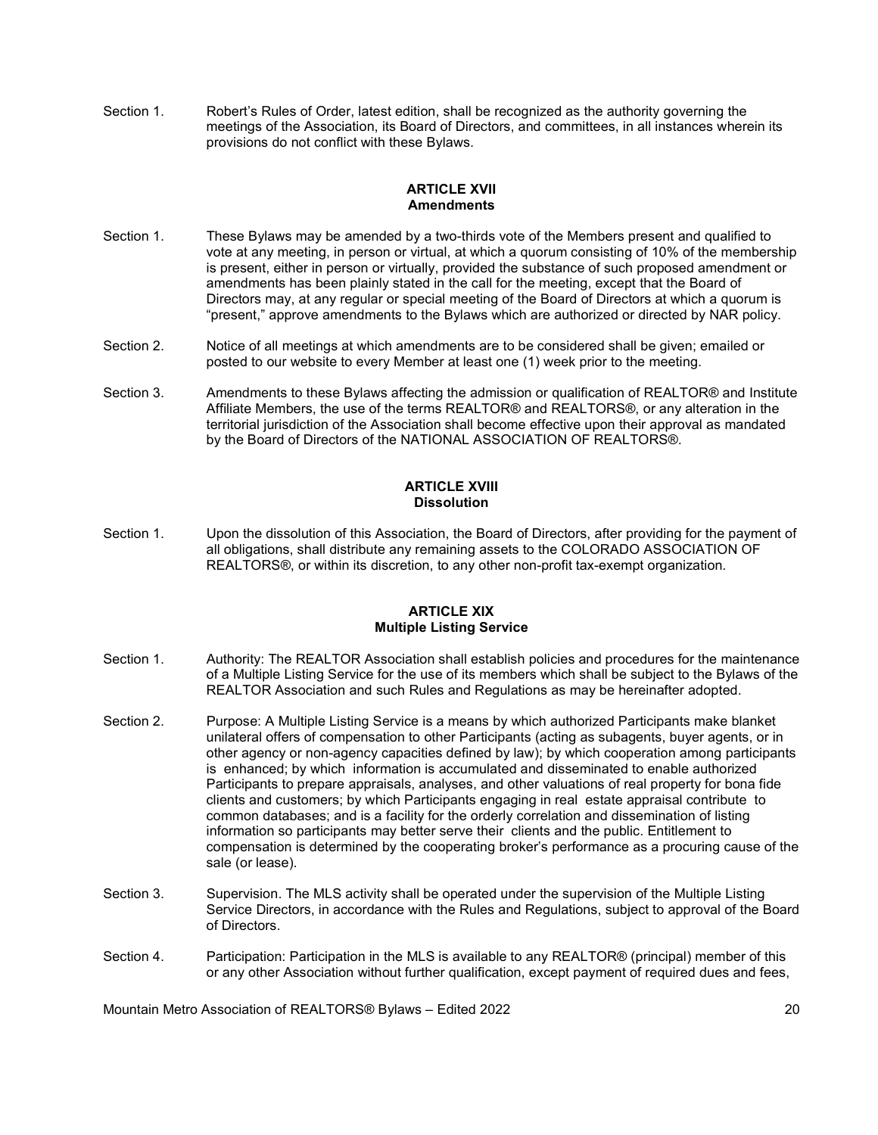Section 1. Robert's Rules of Order, latest edition, shall be recognized as the authority governing the meetings of the Association, its Board of Directors, and committees, in all instances wherein its provisions do not conflict with these Bylaws.

## ARTICLE XVII **Amendments**

- Section 1. These Bylaws may be amended by a two-thirds vote of the Members present and qualified to vote at any meeting, in person or virtual, at which a quorum consisting of 10% of the membership is present, either in person or virtually, provided the substance of such proposed amendment or amendments has been plainly stated in the call for the meeting, except that the Board of Directors may, at any regular or special meeting of the Board of Directors at which a quorum is "present," approve amendments to the Bylaws which are authorized or directed by NAR policy.
- Section 2. Notice of all meetings at which amendments are to be considered shall be given; emailed or posted to our website to every Member at least one (1) week prior to the meeting.
- Section 3. Amendments to these Bylaws affecting the admission or qualification of REALTOR® and Institute Affiliate Members, the use of the terms REALTOR® and REALTORS®, or any alteration in the territorial jurisdiction of the Association shall become effective upon their approval as mandated by the Board of Directors of the NATIONAL ASSOCIATION OF REALTORS®.

## ARTICLE XVIII **Dissolution**

Section 1. Upon the dissolution of this Association, the Board of Directors, after providing for the payment of all obligations, shall distribute any remaining assets to the COLORADO ASSOCIATION OF REALTORS®, or within its discretion, to any other non-profit tax-exempt organization.

# ARTICLE XIX Multiple Listing Service

- Section 1. Authority: The REALTOR Association shall establish policies and procedures for the maintenance of a Multiple Listing Service for the use of its members which shall be subject to the Bylaws of the REALTOR Association and such Rules and Regulations as may be hereinafter adopted.
- Section 2. Purpose: A Multiple Listing Service is a means by which authorized Participants make blanket unilateral offers of compensation to other Participants (acting as subagents, buyer agents, or in other agency or non-agency capacities defined by law); by which cooperation among participants is enhanced; by which information is accumulated and disseminated to enable authorized Participants to prepare appraisals, analyses, and other valuations of real property for bona fide clients and customers; by which Participants engaging in real estate appraisal contribute to common databases; and is a facility for the orderly correlation and dissemination of listing information so participants may better serve their clients and the public. Entitlement to compensation is determined by the cooperating broker's performance as a procuring cause of the sale (or lease).
- Section 3. Supervision. The MLS activity shall be operated under the supervision of the Multiple Listing Service Directors, in accordance with the Rules and Regulations, subject to approval of the Board of Directors.
- Section 4. Participation: Participation in the MLS is available to any REALTOR® (principal) member of this or any other Association without further qualification, except payment of required dues and fees,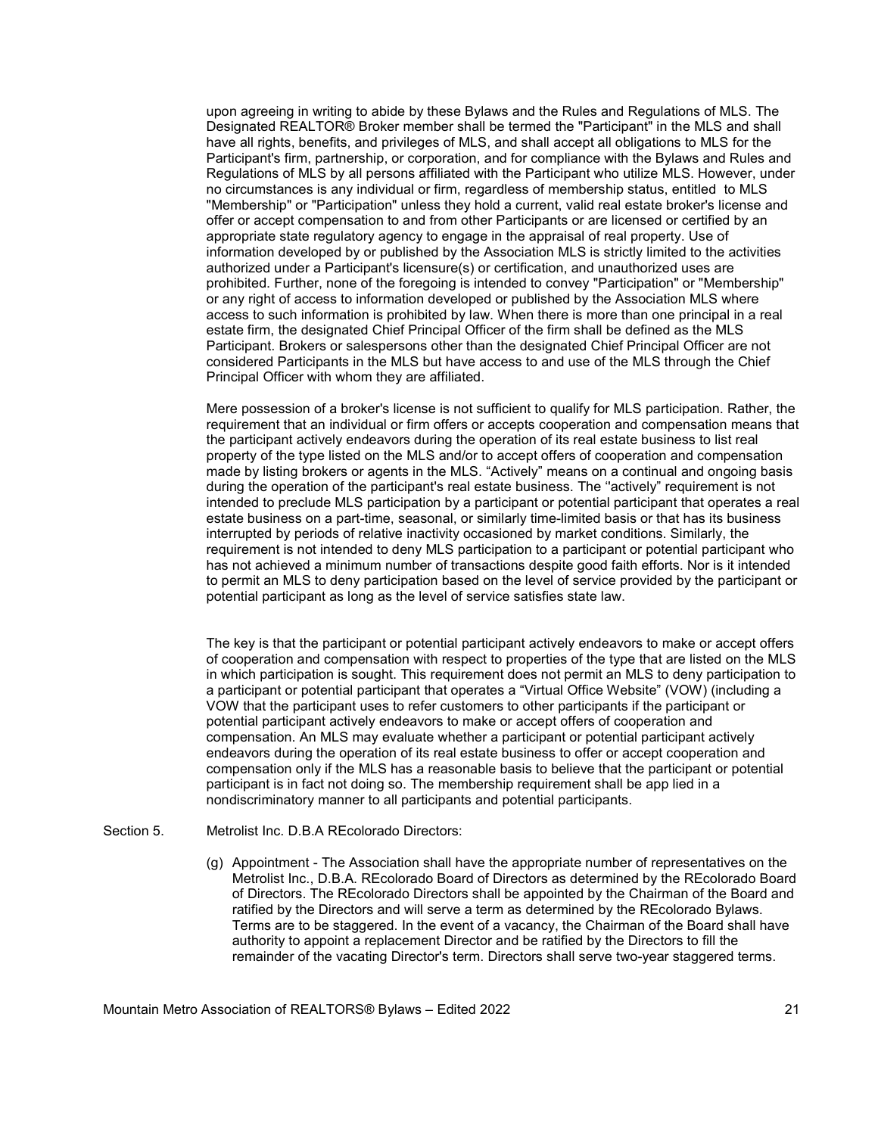upon agreeing in writing to abide by these Bylaws and the Rules and Regulations of MLS. The Designated REALTOR® Broker member shall be termed the "Participant" in the MLS and shall have all rights, benefits, and privileges of MLS, and shall accept all obligations to MLS for the Participant's firm, partnership, or corporation, and for compliance with the Bylaws and Rules and Regulations of MLS by all persons affiliated with the Participant who utilize MLS. However, under no circumstances is any individual or firm, regardless of membership status, entitled to MLS "Membership" or "Participation" unless they hold a current, valid real estate broker's license and offer or accept compensation to and from other Participants or are licensed or certified by an appropriate state regulatory agency to engage in the appraisal of real property. Use of information developed by or published by the Association MLS is strictly limited to the activities authorized under a Participant's licensure(s) or certification, and unauthorized uses are prohibited. Further, none of the foregoing is intended to convey "Participation" or "Membership" or any right of access to information developed or published by the Association MLS where access to such information is prohibited by law. When there is more than one principal in a real estate firm, the designated Chief Principal Officer of the firm shall be defined as the MLS Participant. Brokers or salespersons other than the designated Chief Principal Officer are not considered Participants in the MLS but have access to and use of the MLS through the Chief Principal Officer with whom they are affiliated.

Mere possession of a broker's license is not sufficient to qualify for MLS participation. Rather, the requirement that an individual or firm offers or accepts cooperation and compensation means that the participant actively endeavors during the operation of its real estate business to list real property of the type listed on the MLS and/or to accept offers of cooperation and compensation made by listing brokers or agents in the MLS. "Actively" means on a continual and ongoing basis during the operation of the participant's real estate business. The "actively" requirement is not intended to preclude MLS participation by a participant or potential participant that operates a real estate business on a part-time, seasonal, or similarly time-limited basis or that has its business interrupted by periods of relative inactivity occasioned by market conditions. Similarly, the requirement is not intended to deny MLS participation to a participant or potential participant who has not achieved a minimum number of transactions despite good faith efforts. Nor is it intended to permit an MLS to deny participation based on the level of service provided by the participant or potential participant as long as the level of service satisfies state law.

 The key is that the participant or potential participant actively endeavors to make or accept offers of cooperation and compensation with respect to properties of the type that are listed on the MLS in which participation is sought. This requirement does not permit an MLS to deny participation to a participant or potential participant that operates a "Virtual Office Website" (VOW) (including a VOW that the participant uses to refer customers to other participants if the participant or potential participant actively endeavors to make or accept offers of cooperation and compensation. An MLS may evaluate whether a participant or potential participant actively endeavors during the operation of its real estate business to offer or accept cooperation and compensation only if the MLS has a reasonable basis to believe that the participant or potential participant is in fact not doing so. The membership requirement shall be app lied in a nondiscriminatory manner to all participants and potential participants.

- Section 5. Metrolist Inc. D.B.A REcolorado Directors:
	- (g) Appointment The Association shall have the appropriate number of representatives on the Metrolist Inc., D.B.A. REcolorado Board of Directors as determined by the REcolorado Board of Directors. The REcolorado Directors shall be appointed by the Chairman of the Board and ratified by the Directors and will serve a term as determined by the REcolorado Bylaws. Terms are to be staggered. In the event of a vacancy, the Chairman of the Board shall have authority to appoint a replacement Director and be ratified by the Directors to fill the remainder of the vacating Director's term. Directors shall serve two-year staggered terms.